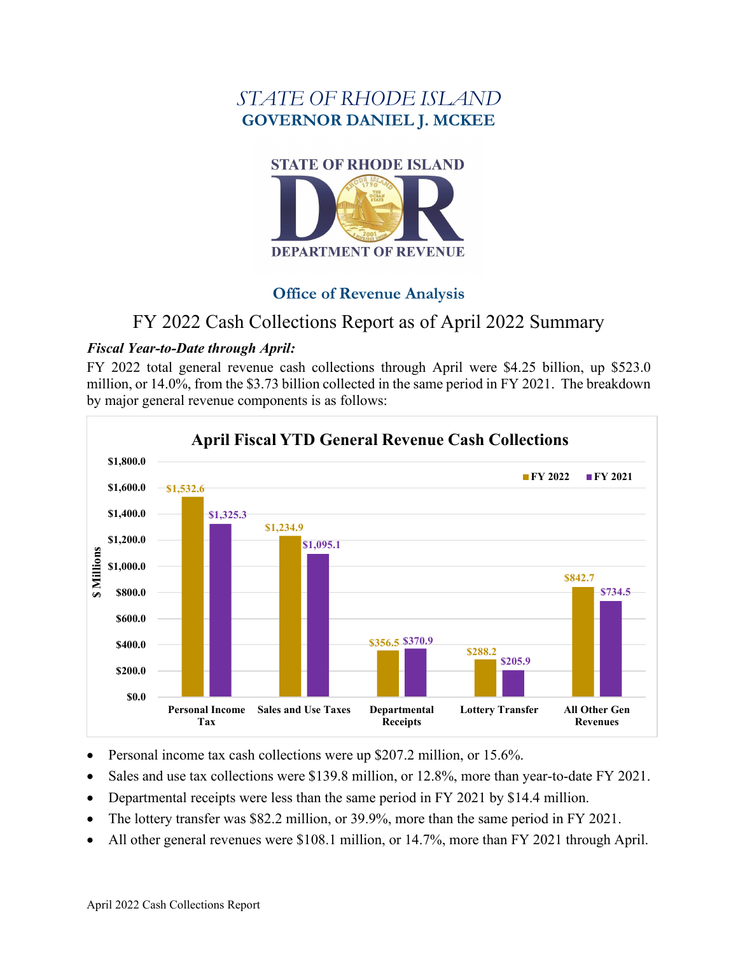# *STATE OF RHODE ISLAND* **GOVERNOR DANIEL J. MCKEE**



# **Office of Revenue Analysis**

# FY 2022 Cash Collections Report as of April 2022 Summary

# *Fiscal Year-to-Date through April:*

FY 2022 total general revenue cash collections through April were \$4.25 billion, up \$523.0 million, or 14.0%, from the \$3.73 billion collected in the same period in FY 2021. The breakdown by major general revenue components is as follows:



- Personal income tax cash collections were up \$207.2 million, or 15.6%.
- Sales and use tax collections were \$139.8 million, or 12.8%, more than year-to-date FY 2021.
- Departmental receipts were less than the same period in FY 2021 by \$14.4 million.
- The lottery transfer was \$82.2 million, or 39.9%, more than the same period in FY 2021.
- All other general revenues were \$108.1 million, or 14.7%, more than FY 2021 through April.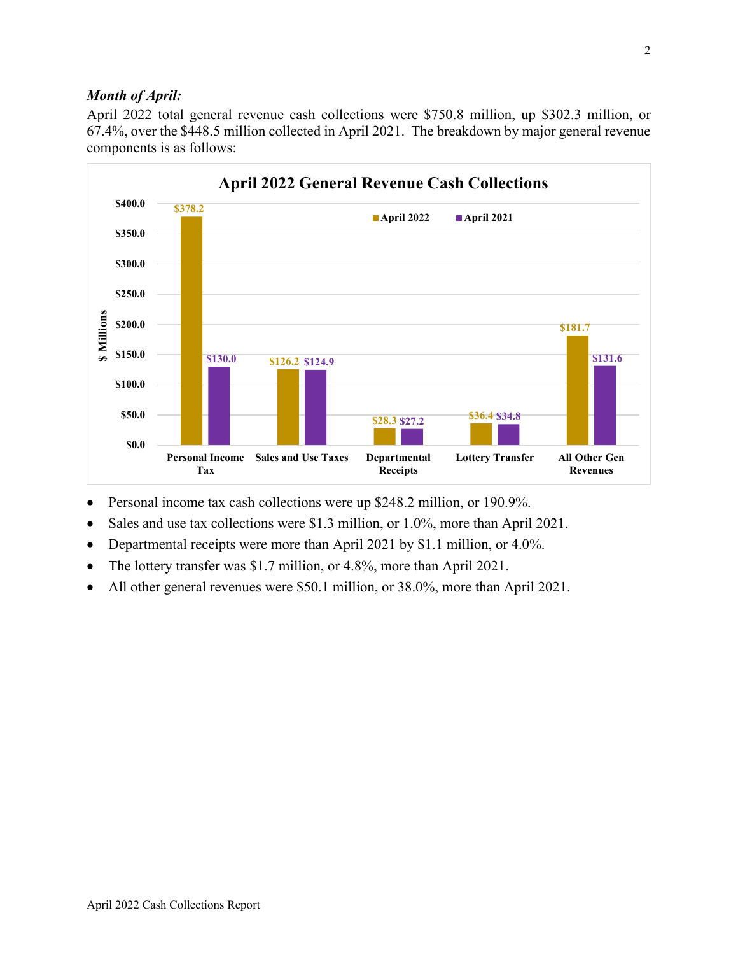## *Month of April:*

April 2022 total general revenue cash collections were \$750.8 million, up \$302.3 million, or 67.4%, over the \$448.5 million collected in April 2021. The breakdown by major general revenue components is as follows:



- Personal income tax cash collections were up \$248.2 million, or 190.9%.
- Sales and use tax collections were \$1.3 million, or 1.0%, more than April 2021.
- Departmental receipts were more than April 2021 by \$1.1 million, or 4.0%.
- The lottery transfer was \$1.7 million, or 4.8%, more than April 2021.
- All other general revenues were \$50.1 million, or 38.0%, more than April 2021.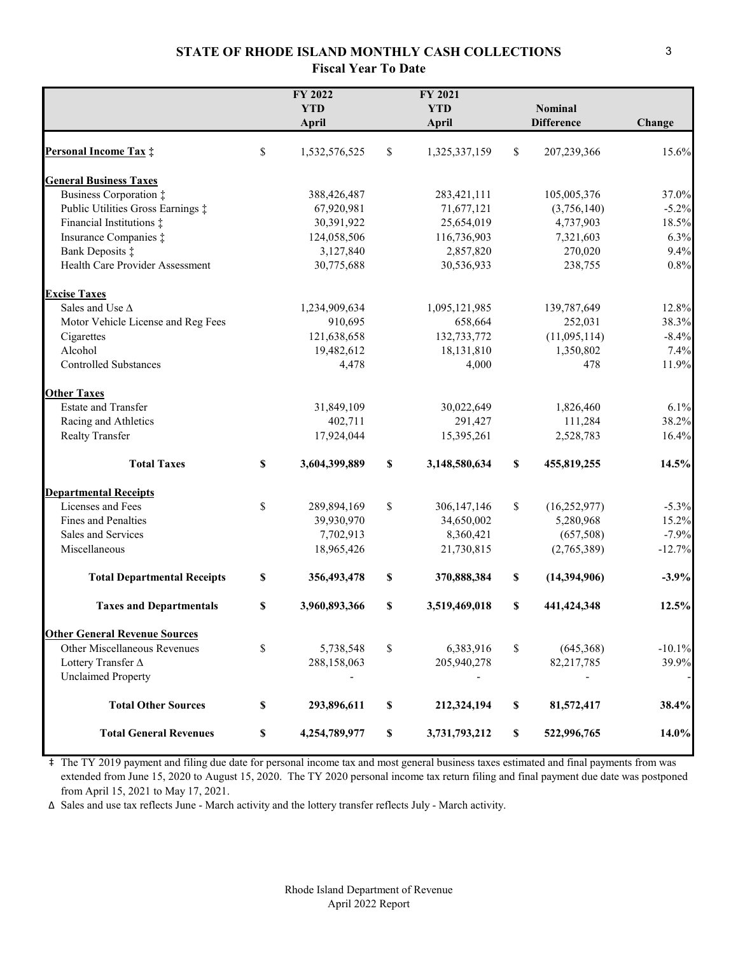#### **STATE OF RHODE ISLAND MONTHLY CASH COLLECTIONS Fiscal Year To Date**

|                                      | FY 2022<br><b>YTD</b><br>April | FY 2021<br><b>YTD</b><br>April |                           | <b>Nominal</b><br><b>Difference</b> | Change   |
|--------------------------------------|--------------------------------|--------------------------------|---------------------------|-------------------------------------|----------|
| <b>Personal Income Tax:</b>          | \$<br>1,532,576,525            | \$<br>1,325,337,159            | $\mathbb{S}$              | 207,239,366                         | 15.6%    |
| <b>General Business Taxes</b>        |                                |                                |                           |                                     |          |
| Business Corporation ‡               | 388,426,487                    | 283,421,111                    |                           | 105,005,376                         | 37.0%    |
| Public Utilities Gross Earnings ‡    | 67,920,981                     | 71,677,121                     |                           | (3,756,140)                         | $-5.2%$  |
| Financial Institutions ‡             | 30,391,922                     | 25,654,019                     |                           | 4,737,903                           | 18.5%    |
| Insurance Companies $\ddagger$       | 124,058,506                    | 116,736,903                    |                           | 7,321,603                           | 6.3%     |
| Bank Deposits ‡                      | 3,127,840                      | 2,857,820                      |                           | 270,020                             | 9.4%     |
| Health Care Provider Assessment      | 30,775,688                     | 30,536,933                     |                           | 238,755                             | 0.8%     |
| <b>Excise Taxes</b>                  |                                |                                |                           |                                     |          |
| Sales and Use $\Delta$               | 1,234,909,634                  | 1,095,121,985                  |                           | 139,787,649                         | 12.8%    |
| Motor Vehicle License and Reg Fees   | 910,695                        | 658,664                        |                           | 252,031                             | 38.3%    |
| Cigarettes                           | 121,638,658                    | 132,733,772                    |                           | (11,095,114)                        | $-8.4%$  |
| Alcohol                              | 19,482,612                     | 18,131,810                     |                           | 1,350,802                           | 7.4%     |
| <b>Controlled Substances</b>         | 4,478                          | 4,000                          |                           | 478                                 | 11.9%    |
| <b>Other Taxes</b>                   |                                |                                |                           |                                     |          |
| <b>Estate and Transfer</b>           | 31,849,109                     | 30,022,649                     |                           | 1,826,460                           | 6.1%     |
| Racing and Athletics                 | 402,711                        | 291,427                        |                           | 111,284                             | 38.2%    |
| <b>Realty Transfer</b>               | 17,924,044                     | 15,395,261                     |                           | 2,528,783                           | 16.4%    |
| <b>Total Taxes</b>                   | \$<br>3,604,399,889            | \$<br>3,148,580,634            | $\boldsymbol{\mathsf{s}}$ | 455,819,255                         | 14.5%    |
| <b>Departmental Receipts</b>         |                                |                                |                           |                                     |          |
| Licenses and Fees                    | \$<br>289,894,169              | \$<br>306,147,146              | \$                        | (16, 252, 977)                      | $-5.3%$  |
| Fines and Penalties                  | 39,930,970                     | 34,650,002                     |                           | 5,280,968                           | 15.2%    |
| Sales and Services                   | 7,702,913                      | 8,360,421                      |                           | (657,508)                           | $-7.9%$  |
| Miscellaneous                        | 18,965,426                     | 21,730,815                     |                           | (2,765,389)                         | $-12.7%$ |
| <b>Total Departmental Receipts</b>   | \$<br>356,493,478              | \$<br>370,888,384              | $\mathbb S$               | (14,394,906)                        | $-3.9%$  |
| <b>Taxes and Departmentals</b>       | \$<br>3,960,893,366            | \$<br>3,519,469,018            | \$                        | 441,424,348                         | 12.5%    |
| <b>Other General Revenue Sources</b> |                                |                                |                           |                                     |          |
| Other Miscellaneous Revenues         | \$<br>5,738,548                | \$<br>6,383,916                | \$                        | (645,368)                           | $-10.1%$ |
| Lottery Transfer A                   | 288,158,063                    | 205,940,278                    |                           | 82,217,785                          | 39.9%    |
| <b>Unclaimed Property</b>            |                                |                                |                           |                                     |          |
| <b>Total Other Sources</b>           | \$<br>293,896,611              | \$<br>212,324,194              | $\mathbb S$               | 81,572,417                          | 38.4%    |
| <b>Total General Revenues</b>        | \$<br>4,254,789,977            | \$<br>3,731,793,212            | $\mathbb S$               | 522,996,765                         | 14.0%    |

‡ The TY 2019 payment and filing due date for personal income tax and most general business taxes estimated and final payments from was extended from June 15, 2020 to August 15, 2020. The TY 2020 personal income tax return filing and final payment due date was postponed from April 15, 2021 to May 17, 2021.

∆ Sales and use tax reflects June - March activity and the lottery transfer reflects July - March activity.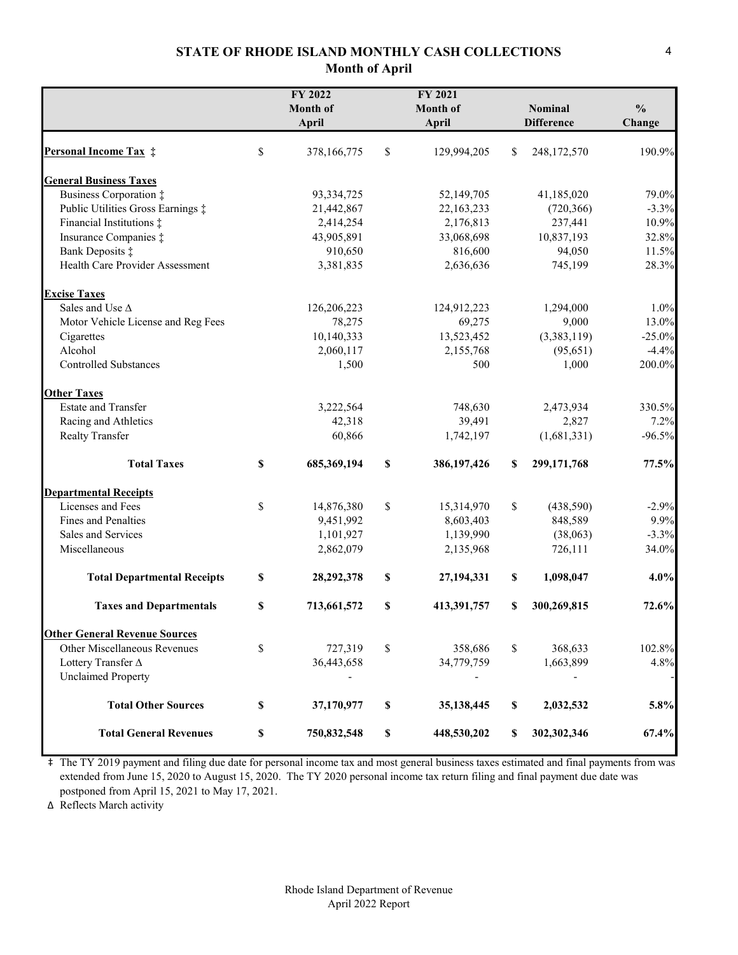#### **STATE OF RHODE ISLAND MONTHLY CASH COLLECTIONS Month of April**

|                                      | FY 2022<br>Month of<br>April | FY 2021<br><b>Month of</b><br>April |             | <b>Nominal</b><br><b>Difference</b> | $\frac{0}{0}$<br>Change |
|--------------------------------------|------------------------------|-------------------------------------|-------------|-------------------------------------|-------------------------|
| <b>Personal Income Tax #</b>         | \$<br>378,166,775            | \$<br>129,994,205                   | \$          | 248,172,570                         | 190.9%                  |
| <b>General Business Taxes</b>        |                              |                                     |             |                                     |                         |
| Business Corporation ‡               | 93, 334, 725                 | 52,149,705                          |             | 41,185,020                          | 79.0%                   |
| Public Utilities Gross Earnings ‡    | 21,442,867                   | 22,163,233                          |             | (720, 366)                          | $-3.3%$                 |
| Financial Institutions ‡             | 2,414,254                    | 2,176,813                           |             | 237,441                             | 10.9%                   |
| Insurance Companies $\ddagger$       | 43,905,891                   | 33,068,698                          |             | 10,837,193                          | 32.8%                   |
| Bank Deposits ‡                      | 910,650                      | 816,600                             |             | 94,050                              | 11.5%                   |
| Health Care Provider Assessment      | 3,381,835                    | 2,636,636                           |             | 745,199                             | 28.3%                   |
| <b>Excise Taxes</b>                  |                              |                                     |             |                                     |                         |
| Sales and Use $\Delta$               | 126,206,223                  | 124,912,223                         |             | 1,294,000                           | 1.0%                    |
| Motor Vehicle License and Reg Fees   | 78,275                       | 69,275                              |             | 9,000                               | 13.0%                   |
| Cigarettes                           | 10,140,333                   | 13,523,452                          |             | (3,383,119)                         | $-25.0\%$               |
| Alcohol                              | 2,060,117                    | 2,155,768                           |             | (95, 651)                           | $-4.4%$                 |
| Controlled Substances                | 1,500                        | 500                                 |             | 1,000                               | 200.0%                  |
| <b>Other Taxes</b>                   |                              |                                     |             |                                     |                         |
| <b>Estate and Transfer</b>           | 3,222,564                    | 748,630                             |             | 2,473,934                           | 330.5%                  |
| Racing and Athletics                 | 42,318                       | 39,491                              |             | 2,827                               | 7.2%                    |
| Realty Transfer                      | 60,866                       | 1,742,197                           |             | (1,681,331)                         | $-96.5%$                |
| <b>Total Taxes</b>                   | \$<br>685, 369, 194          | \$<br>386, 197, 426                 | S           | 299,171,768                         | 77.5%                   |
| <b>Departmental Receipts</b>         |                              |                                     |             |                                     |                         |
| Licenses and Fees                    | \$<br>14,876,380             | \$<br>15,314,970                    | $\mathbb S$ | (438,590)                           | $-2.9%$                 |
| Fines and Penalties                  | 9,451,992                    | 8,603,403                           |             | 848,589                             | 9.9%                    |
| Sales and Services                   | 1,101,927                    | 1,139,990                           |             | (38,063)                            | $-3.3%$                 |
| Miscellaneous                        | 2,862,079                    | 2,135,968                           |             | 726,111                             | 34.0%                   |
| <b>Total Departmental Receipts</b>   | \$<br>28,292,378             | \$<br>27,194,331                    | \$          | 1,098,047                           | 4.0%                    |
| <b>Taxes and Departmentals</b>       | \$<br>713,661,572            | \$<br>413,391,757                   | S           | 300,269,815                         | 72.6%                   |
| <b>Other General Revenue Sources</b> |                              |                                     |             |                                     |                         |
| Other Miscellaneous Revenues         | \$<br>727,319                | \$<br>358,686                       | \$          | 368,633                             | 102.8%                  |
| Lottery Transfer ∆                   | 36,443,658                   | 34,779,759                          |             | 1,663,899                           | 4.8%                    |
| <b>Unclaimed Property</b>            |                              |                                     |             |                                     |                         |
| <b>Total Other Sources</b>           | \$<br>37,170,977             | \$<br>35,138,445                    | \$          | 2,032,532                           | 5.8%                    |
| <b>Total General Revenues</b>        | \$<br>750,832,548            | \$<br>448,530,202                   | S           | 302,302,346                         | 67.4%                   |

‡ The TY 2019 payment and filing due date for personal income tax and most general business taxes estimated and final payments from was extended from June 15, 2020 to August 15, 2020. The TY 2020 personal income tax return filing and final payment due date was postponed from April 15, 2021 to May 17, 2021.

∆ Reflects March activity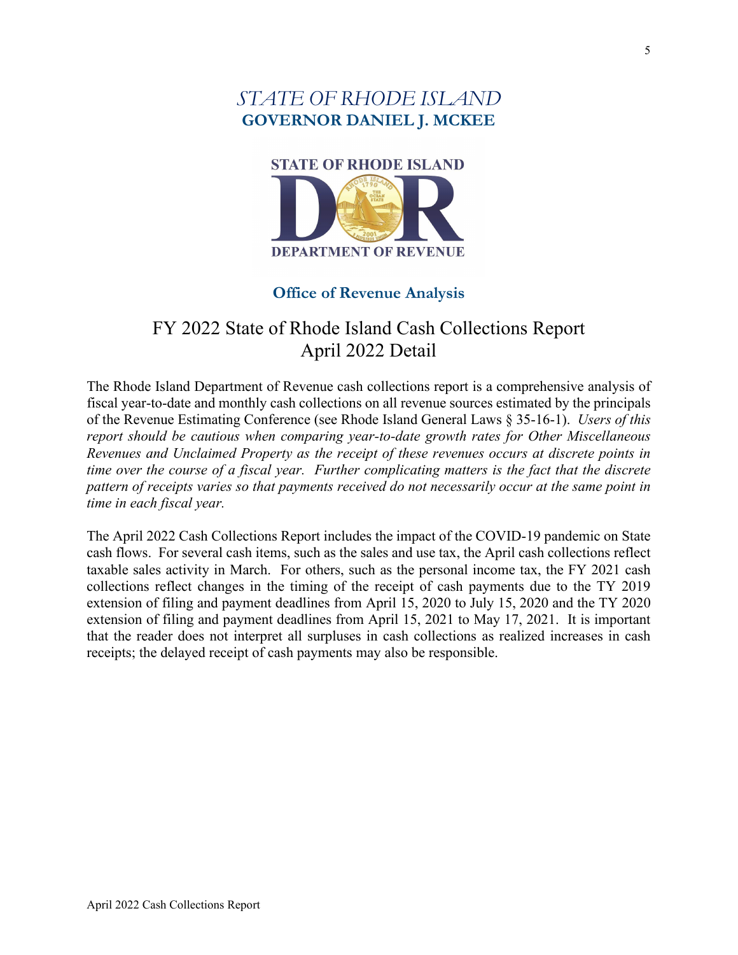# *STATE OF RHODE ISLAND*  **GOVERNOR DANIEL J. MCKEE**



# **Office of Revenue Analysis**

# FY 2022 State of Rhode Island Cash Collections Report April 2022 Detail

The Rhode Island Department of Revenue cash collections report is a comprehensive analysis of fiscal year-to-date and monthly cash collections on all revenue sources estimated by the principals of the Revenue Estimating Conference (see Rhode Island General Laws § 35-16-1). *Users of this report should be cautious when comparing year-to-date growth rates for Other Miscellaneous Revenues and Unclaimed Property as the receipt of these revenues occurs at discrete points in time over the course of a fiscal year. Further complicating matters is the fact that the discrete pattern of receipts varies so that payments received do not necessarily occur at the same point in time in each fiscal year.*

The April 2022 Cash Collections Report includes the impact of the COVID-19 pandemic on State cash flows. For several cash items, such as the sales and use tax, the April cash collections reflect taxable sales activity in March. For others, such as the personal income tax, the FY 2021 cash collections reflect changes in the timing of the receipt of cash payments due to the TY 2019 extension of filing and payment deadlines from April 15, 2020 to July 15, 2020 and the TY 2020 extension of filing and payment deadlines from April 15, 2021 to May 17, 2021. It is important that the reader does not interpret all surpluses in cash collections as realized increases in cash receipts; the delayed receipt of cash payments may also be responsible.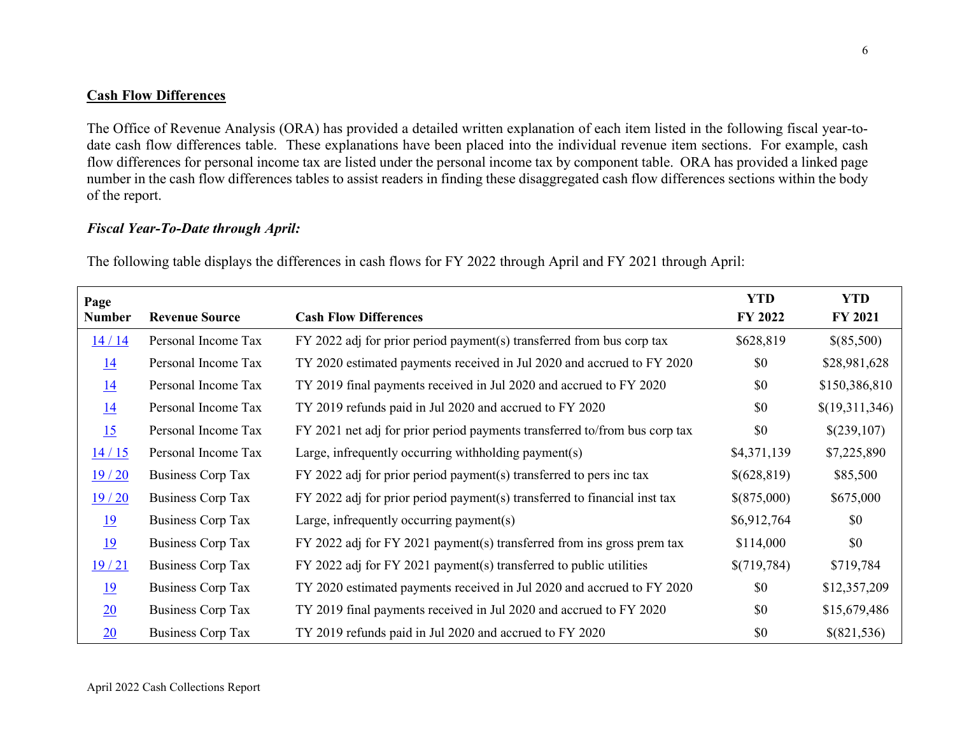#### **Cash Flow Differences**

The Office of Revenue Analysis (ORA) has provided a detailed written explanation of each item listed in the following fiscal year-todate cash flow differences table. These explanations have been placed into the individual revenue item sections. For example, cash flow differences for personal income tax are listed under the personal income tax by component table. ORA has provided a linked page number in the cash flow differences tables to assist readers in finding these disaggregated cash flow differences sections within the body of the report.

#### *Fiscal Year-To-Date through April:*

The following table displays the differences in cash flows for FY 2022 through April and FY 2021 through April:

| Page          |                          |                                                                            | <b>YTD</b>  | <b>YTD</b>     |
|---------------|--------------------------|----------------------------------------------------------------------------|-------------|----------------|
| <b>Number</b> | <b>Revenue Source</b>    | <b>Cash Flow Differences</b>                                               | FY 2022     | <b>FY 2021</b> |
| 14/14         | Personal Income Tax      | FY 2022 adj for prior period payment(s) transferred from bus corp tax      | \$628,819   | \$(85,500)     |
| <u>14</u>     | Personal Income Tax      | TY 2020 estimated payments received in Jul 2020 and accrued to FY 2020     | \$0         | \$28,981,628   |
| <u>14</u>     | Personal Income Tax      | TY 2019 final payments received in Jul 2020 and accrued to FY 2020         | \$0         | \$150,386,810  |
| <u>14</u>     | Personal Income Tax      | TY 2019 refunds paid in Jul 2020 and accrued to FY 2020                    | \$0         | \$(19,311,346) |
| 15            | Personal Income Tax      | FY 2021 net adj for prior period payments transferred to/from bus corp tax | \$0         | \$(239,107)    |
| 14/15         | Personal Income Tax      | Large, infrequently occurring withholding payment(s)                       | \$4,371,139 | \$7,225,890    |
| 19/20         | <b>Business Corp Tax</b> | FY 2022 adj for prior period payment(s) transferred to pers inc tax        | \$(628,819) | \$85,500       |
| 19/20         | <b>Business Corp Tax</b> | FY 2022 adj for prior period payment(s) transferred to financial inst tax  | \$(875,000) | \$675,000      |
| <u>19</u>     | Business Corp Tax        | Large, infrequently occurring payment(s)                                   | \$6,912,764 | \$0            |
| 19            | <b>Business Corp Tax</b> | FY 2022 adj for FY 2021 payment(s) transferred from ins gross prem tax     | \$114,000   | \$0            |
| 19/21         | <b>Business Corp Tax</b> | FY 2022 adj for FY 2021 payment(s) transferred to public utilities         | \$(719,784) | \$719,784      |
| <u>19</u>     | <b>Business Corp Tax</b> | TY 2020 estimated payments received in Jul 2020 and accrued to FY 2020     | \$0         | \$12,357,209   |
| 20            | <b>Business Corp Tax</b> | TY 2019 final payments received in Jul 2020 and accrued to FY 2020         | \$0         | \$15,679,486   |
| 20            | <b>Business Corp Tax</b> | TY 2019 refunds paid in Jul 2020 and accrued to FY 2020                    | \$0         | \$(821,536)    |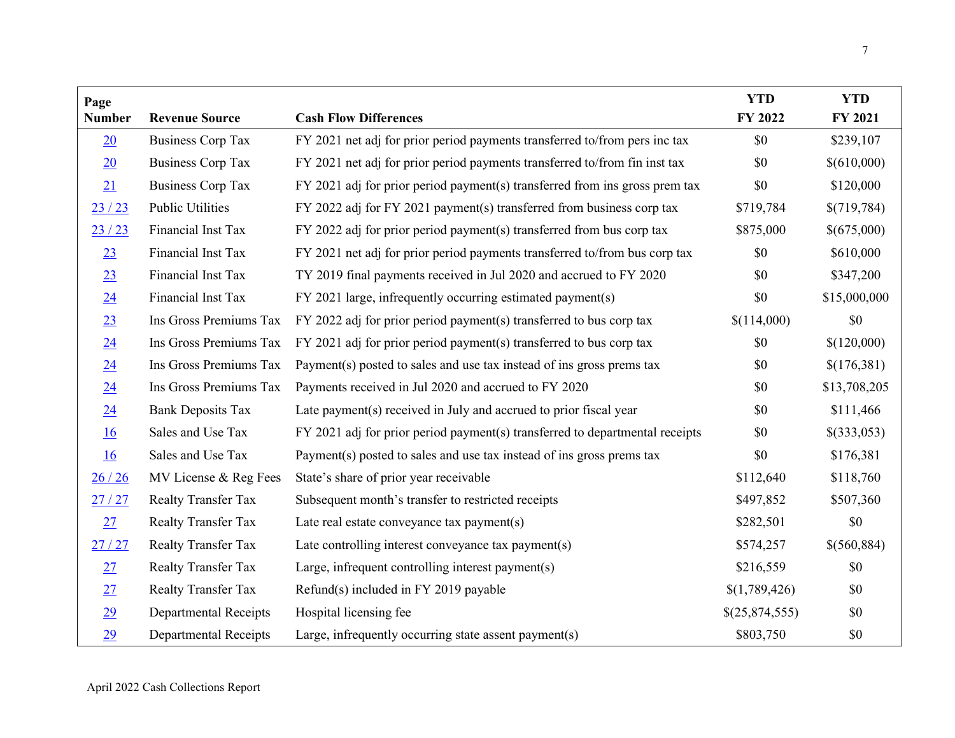| Page             |                              |                                                                              | <b>YTD</b>     | <b>YTD</b>   |
|------------------|------------------------------|------------------------------------------------------------------------------|----------------|--------------|
| <b>Number</b>    | <b>Revenue Source</b>        | <b>Cash Flow Differences</b>                                                 | FY 2022        | FY 2021      |
| 20               | <b>Business Corp Tax</b>     | FY 2021 net adj for prior period payments transferred to/from pers inc tax   | \$0            | \$239,107    |
| 20               | <b>Business Corp Tax</b>     | FY 2021 net adj for prior period payments transferred to/from fin inst tax   | \$0            | \$(610,000)  |
| 21               | <b>Business Corp Tax</b>     | FY 2021 adj for prior period payment(s) transferred from ins gross prem tax  | \$0            | \$120,000    |
| 23/23            | <b>Public Utilities</b>      | FY 2022 adj for FY 2021 payment(s) transferred from business corp tax        | \$719,784      | \$(719,784)  |
| 23/23            | Financial Inst Tax           | $FY$ 2022 adj for prior period payment(s) transferred from bus corp tax      | \$875,000      | \$(675,000)  |
| 23               | Financial Inst Tax           | FY 2021 net adj for prior period payments transferred to/from bus corp tax   | \$0            | \$610,000    |
| 23               | Financial Inst Tax           | TY 2019 final payments received in Jul 2020 and accrued to FY 2020           | \$0            | \$347,200    |
| 24               | Financial Inst Tax           | FY 2021 large, infrequently occurring estimated payment(s)                   | \$0            | \$15,000,000 |
| 23               | Ins Gross Premiums Tax       | FY 2022 adj for prior period payment(s) transferred to bus corp tax          | \$(114,000)    | \$0          |
| 24               | Ins Gross Premiums Tax       | FY 2021 adj for prior period payment(s) transferred to bus corp tax          | \$0            | \$(120,000)  |
| 24               | Ins Gross Premiums Tax       | Payment(s) posted to sales and use tax instead of ins gross prems tax        | \$0            | \$(176,381)  |
| $\underline{24}$ | Ins Gross Premiums Tax       | Payments received in Jul 2020 and accrued to FY 2020                         | \$0            | \$13,708,205 |
| 24               | <b>Bank Deposits Tax</b>     | Late payment(s) received in July and accrued to prior fiscal year            | \$0            | \$111,466    |
| <u>16</u>        | Sales and Use Tax            | FY 2021 adj for prior period payment(s) transferred to departmental receipts | \$0            | \$(333,053)  |
| <u>16</u>        | Sales and Use Tax            | Payment(s) posted to sales and use tax instead of ins gross prems tax        | \$0            | \$176,381    |
| 26/26            | MV License & Reg Fees        | State's share of prior year receivable                                       | \$112,640      | \$118,760    |
| 27/27            | <b>Realty Transfer Tax</b>   | Subsequent month's transfer to restricted receipts                           | \$497,852      | \$507,360    |
| 27               | Realty Transfer Tax          | Late real estate conveyance tax payment(s)                                   | \$282,501      | \$0          |
| 27/27            | Realty Transfer Tax          | Late controlling interest conveyance tax payment(s)                          | \$574,257      | \$(560,884)  |
| 27               | <b>Realty Transfer Tax</b>   | Large, infrequent controlling interest payment(s)                            | \$216,559      | \$0          |
| 27               | Realty Transfer Tax          | Refund(s) included in FY 2019 payable                                        | \$(1,789,426)  | \$0          |
| 29               | <b>Departmental Receipts</b> | Hospital licensing fee                                                       | \$(25,874,555) | \$0          |
| 29               | <b>Departmental Receipts</b> | Large, infrequently occurring state assent payment(s)                        | \$803,750      | \$0          |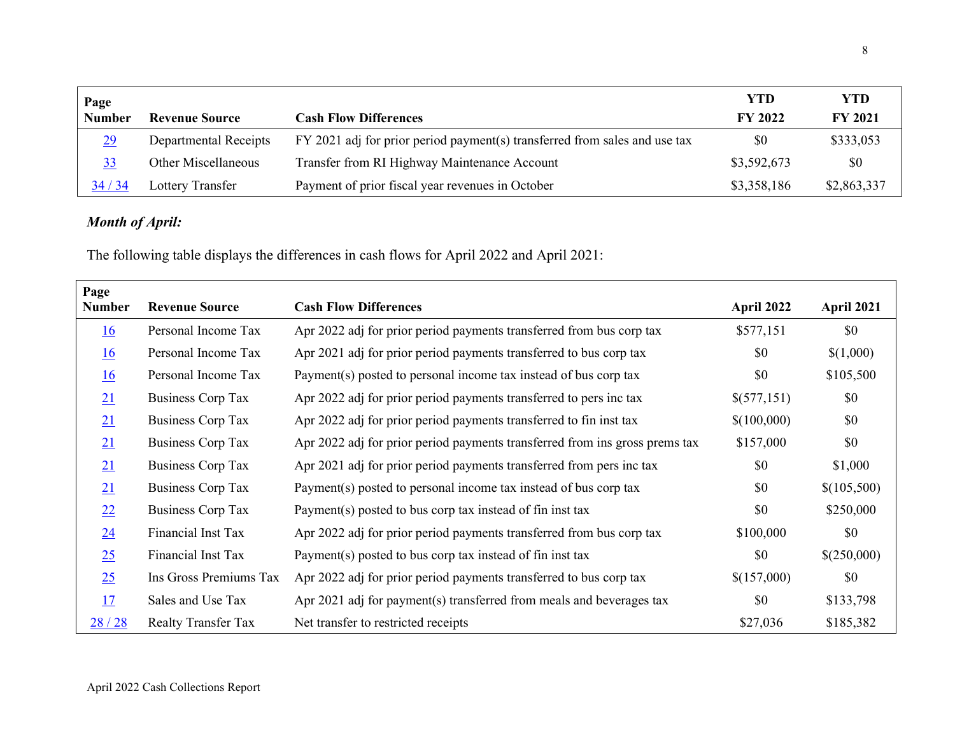| Page          |                              |                                                                            | YTD            | <b>YTD</b>     |
|---------------|------------------------------|----------------------------------------------------------------------------|----------------|----------------|
| <b>Number</b> | <b>Revenue Source</b>        | <b>Cash Flow Differences</b>                                               | <b>FY 2022</b> | <b>FY 2021</b> |
| 29            | <b>Departmental Receipts</b> | FY 2021 adj for prior period payment(s) transferred from sales and use tax | \$0            | \$333,053      |
| 33            | <b>Other Miscellaneous</b>   | Transfer from RI Highway Maintenance Account                               | \$3,592,673    | \$0            |
| 34/34         | Lottery Transfer             | Payment of prior fiscal year revenues in October                           | \$3,358,186    | \$2,863,337    |

# *Month of April:*

The following table displays the differences in cash flows for April 2022 and April 2021:

| Page<br><b>Number</b> | <b>Revenue Source</b>      | <b>Cash Flow Differences</b>                                                | April 2022  | April 2021  |
|-----------------------|----------------------------|-----------------------------------------------------------------------------|-------------|-------------|
| <u>16</u>             | Personal Income Tax        | Apr 2022 adj for prior period payments transferred from bus corp tax        | \$577,151   | \$0         |
| <u>16</u>             | Personal Income Tax        | Apr 2021 adj for prior period payments transferred to bus corp tax          | \$0         | \$(1,000)   |
| 16                    | Personal Income Tax        | Payment(s) posted to personal income tax instead of bus corp tax            | \$0         | \$105,500   |
| 21                    | <b>Business Corp Tax</b>   | Apr 2022 adj for prior period payments transferred to pers inc tax          | \$(577,151) | \$0         |
| 21                    | <b>Business Corp Tax</b>   | Apr 2022 adj for prior period payments transferred to fin inst tax          | \$(100,000) | \$0         |
| 21                    | <b>Business Corp Tax</b>   | Apr 2022 adj for prior period payments transferred from ins gross prems tax | \$157,000   | \$0         |
| 21                    | Business Corp Tax          | Apr 2021 adj for prior period payments transferred from pers inc tax        | \$0         | \$1,000     |
| 21                    | <b>Business Corp Tax</b>   | Payment(s) posted to personal income tax instead of bus corp tax            | \$0         | \$(105,500) |
| 22                    | <b>Business Corp Tax</b>   | Payment(s) posted to bus corp tax instead of fin inst tax                   | \$0         | \$250,000   |
| 24                    | Financial Inst Tax         | Apr 2022 adj for prior period payments transferred from bus corp tax        | \$100,000   | \$0         |
| 25                    | Financial Inst Tax         | Payment(s) posted to bus corp tax instead of fin inst tax                   | \$0         | \$(250,000) |
| 25                    | Ins Gross Premiums Tax     | Apr 2022 adj for prior period payments transferred to bus corp tax          | \$(157,000) | \$0         |
| 17                    | Sales and Use Tax          | Apr 2021 adj for payment(s) transferred from meals and beverages tax        | \$0         | \$133,798   |
| 28/28                 | <b>Realty Transfer Tax</b> | Net transfer to restricted receipts                                         | \$27,036    | \$185,382   |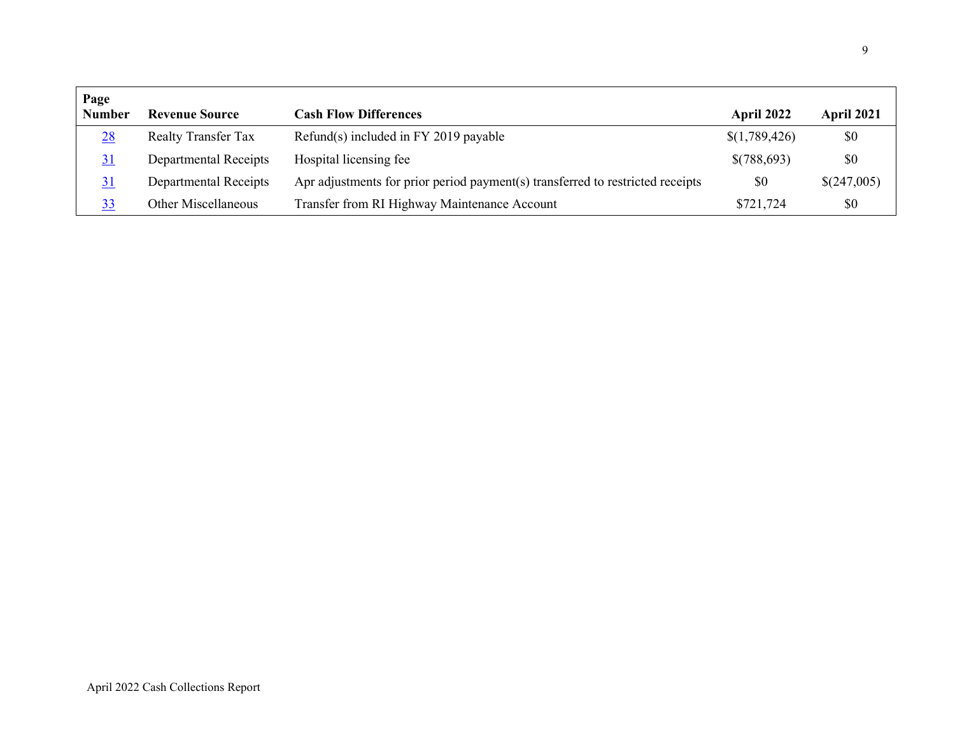| Page          |                            |                                                                                |               |             |
|---------------|----------------------------|--------------------------------------------------------------------------------|---------------|-------------|
| <b>Number</b> | <b>Revenue Source</b>      | <b>Cash Flow Differences</b>                                                   | April 2022    | April 2021  |
| 28            | <b>Realty Transfer Tax</b> | $Refund(s)$ included in FY 2019 payable                                        | \$(1,789,426) | \$0         |
|               | Departmental Receipts      | Hospital licensing fee                                                         | \$(788,693)   | \$0         |
| 31            | Departmental Receipts      | Apr adjustments for prior period payment(s) transferred to restricted receipts | \$0           | \$(247,005) |
| <u>33</u>     | Other Miscellaneous        | Transfer from RI Highway Maintenance Account                                   | \$721,724     | \$0         |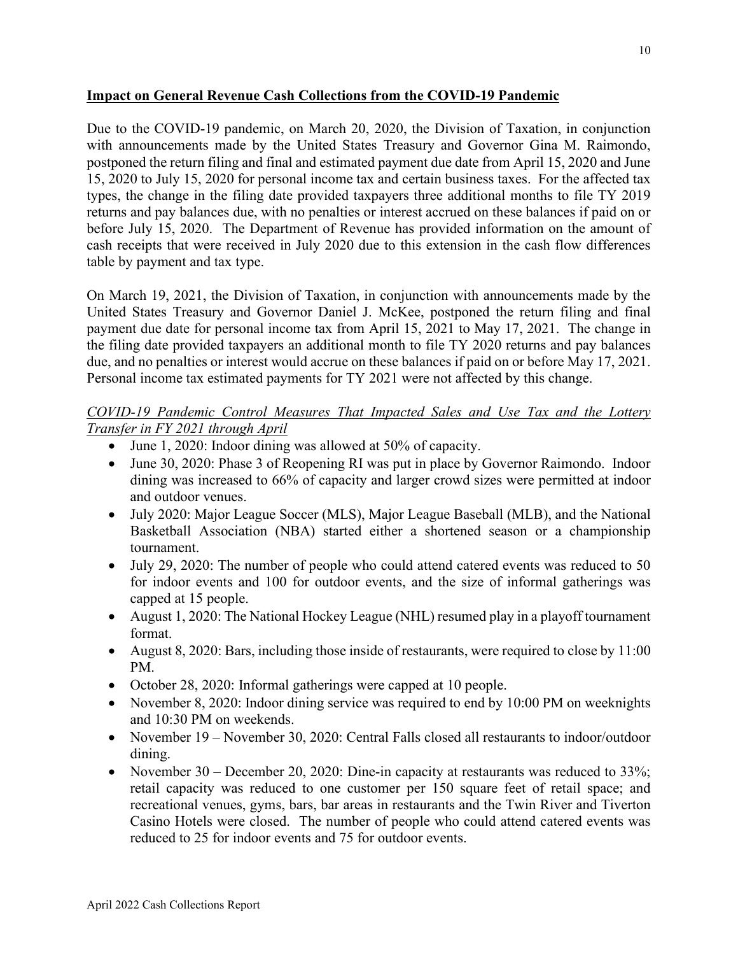#### **Impact on General Revenue Cash Collections from the COVID-19 Pandemic**

Due to the COVID-19 pandemic, on March 20, 2020, the Division of Taxation, in conjunction with announcements made by the United States Treasury and Governor Gina M. Raimondo, postponed the return filing and final and estimated payment due date from April 15, 2020 and June 15, 2020 to July 15, 2020 for personal income tax and certain business taxes. For the affected tax types, the change in the filing date provided taxpayers three additional months to file TY 2019 returns and pay balances due, with no penalties or interest accrued on these balances if paid on or before July 15, 2020. The Department of Revenue has provided information on the amount of cash receipts that were received in July 2020 due to this extension in the cash flow differences table by payment and tax type.

On March 19, 2021, the Division of Taxation, in conjunction with announcements made by the United States Treasury and Governor Daniel J. McKee, postponed the return filing and final payment due date for personal income tax from April 15, 2021 to May 17, 2021. The change in the filing date provided taxpayers an additional month to file TY 2020 returns and pay balances due, and no penalties or interest would accrue on these balances if paid on or before May 17, 2021. Personal income tax estimated payments for TY 2021 were not affected by this change.

## *COVID-19 Pandemic Control Measures That Impacted Sales and Use Tax and the Lottery Transfer in FY 2021 through April*

- June 1, 2020: Indoor dining was allowed at 50% of capacity.
- June 30, 2020: Phase 3 of Reopening RI was put in place by Governor Raimondo. Indoor dining was increased to 66% of capacity and larger crowd sizes were permitted at indoor and outdoor venues.
- July 2020: Major League Soccer (MLS), Major League Baseball (MLB), and the National Basketball Association (NBA) started either a shortened season or a championship tournament.
- July 29, 2020: The number of people who could attend catered events was reduced to 50 for indoor events and 100 for outdoor events, and the size of informal gatherings was capped at 15 people.
- August 1, 2020: The National Hockey League (NHL) resumed play in a playoff tournament format.
- August 8, 2020: Bars, including those inside of restaurants, were required to close by 11:00 PM.
- October 28, 2020: Informal gatherings were capped at 10 people.
- November 8, 2020: Indoor dining service was required to end by 10:00 PM on weeknights and 10:30 PM on weekends.
- November 19 November 30, 2020: Central Falls closed all restaurants to indoor/outdoor dining.
- November 30 December 20, 2020: Dine-in capacity at restaurants was reduced to 33%; retail capacity was reduced to one customer per 150 square feet of retail space; and recreational venues, gyms, bars, bar areas in restaurants and the Twin River and Tiverton Casino Hotels were closed. The number of people who could attend catered events was reduced to 25 for indoor events and 75 for outdoor events.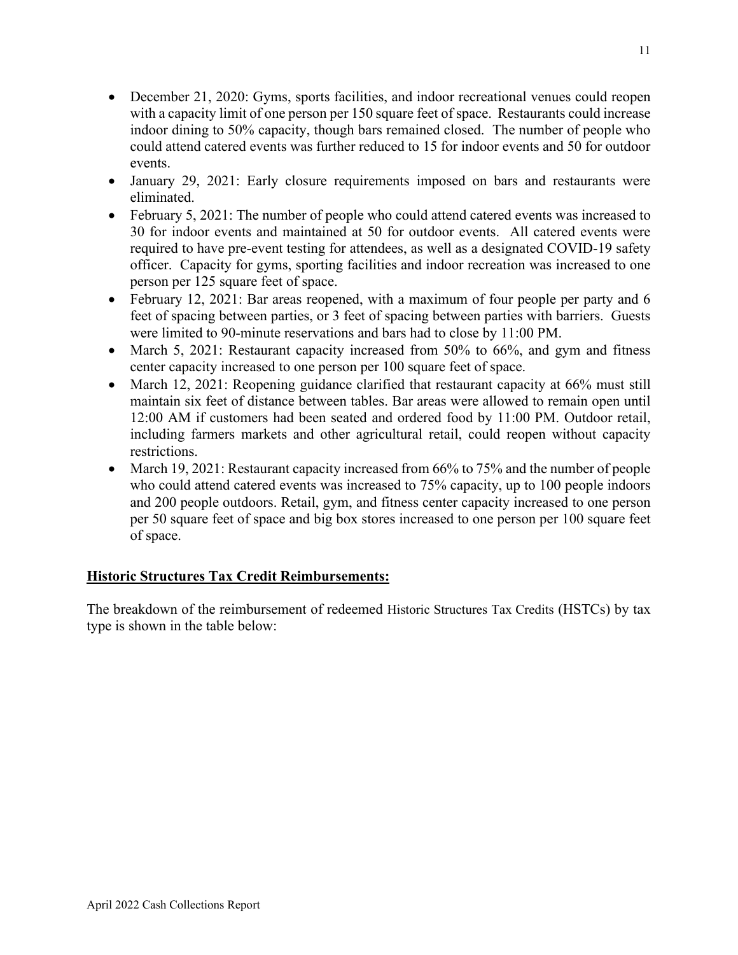- December 21, 2020: Gyms, sports facilities, and indoor recreational venues could reopen with a capacity limit of one person per 150 square feet of space. Restaurants could increase indoor dining to 50% capacity, though bars remained closed. The number of people who could attend catered events was further reduced to 15 for indoor events and 50 for outdoor events.
- January 29, 2021: Early closure requirements imposed on bars and restaurants were eliminated.
- February 5, 2021: The number of people who could attend catered events was increased to 30 for indoor events and maintained at 50 for outdoor events. All catered events were required to have pre-event testing for attendees, as well as a designated COVID-19 safety officer. Capacity for gyms, sporting facilities and indoor recreation was increased to one person per 125 square feet of space.
- February 12, 2021: Bar areas reopened, with a maximum of four people per party and 6 feet of spacing between parties, or 3 feet of spacing between parties with barriers. Guests were limited to 90-minute reservations and bars had to close by 11:00 PM.
- March 5, 2021: Restaurant capacity increased from 50% to 66%, and gym and fitness center capacity increased to one person per 100 square feet of space.
- March 12, 2021: Reopening guidance clarified that restaurant capacity at 66% must still maintain six feet of distance between tables. Bar areas were allowed to remain open until 12:00 AM if customers had been seated and ordered food by 11:00 PM. Outdoor retail, including farmers markets and other agricultural retail, could reopen without capacity restrictions.
- March 19, 2021: Restaurant capacity increased from 66% to 75% and the number of people who could attend catered events was increased to 75% capacity, up to 100 people indoors and 200 people outdoors. Retail, gym, and fitness center capacity increased to one person per 50 square feet of space and big box stores increased to one person per 100 square feet of space.

## **Historic Structures Tax Credit Reimbursements:**

The breakdown of the reimbursement of redeemed Historic Structures Tax Credits (HSTCs) by tax type is shown in the table below: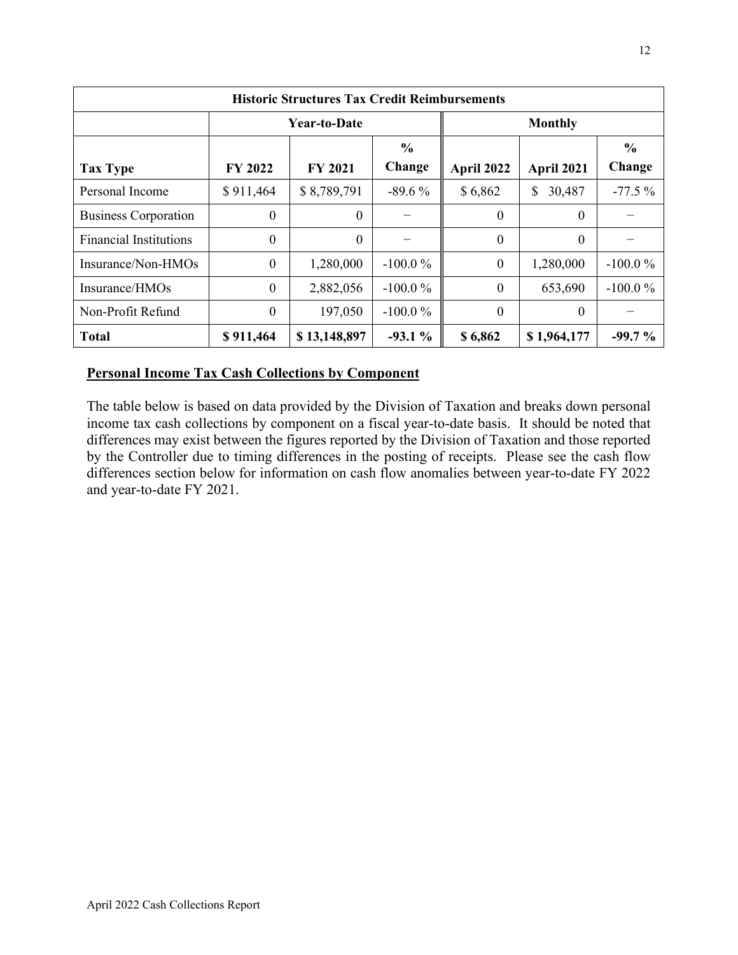| <b>Historic Structures Tax Credit Reimbursements</b> |                |                     |               |                  |              |               |  |  |
|------------------------------------------------------|----------------|---------------------|---------------|------------------|--------------|---------------|--|--|
|                                                      |                | <b>Year-to-Date</b> |               | <b>Monthly</b>   |              |               |  |  |
|                                                      |                |                     | $\frac{0}{0}$ |                  |              | $\frac{0}{0}$ |  |  |
| <b>Tax Type</b>                                      | <b>FY 2022</b> | <b>FY 2021</b>      | Change        | April 2022       | April 2021   | Change        |  |  |
| Personal Income                                      | \$911,464      | \$8,789,791         | $-89.6\%$     | \$6,862          | 30,487<br>\$ | $-77.5%$      |  |  |
| <b>Business Corporation</b>                          | $\theta$       | $\theta$            |               | $\boldsymbol{0}$ | $\mathbf{0}$ |               |  |  |
| <b>Financial Institutions</b>                        | $\theta$       | $\Omega$            |               | $\overline{0}$   | $\mathbf{0}$ |               |  |  |
| Insurance/Non-HMOs                                   | $\Omega$       | 1,280,000           | $-100.0%$     | $\boldsymbol{0}$ | 1,280,000    | $-100.0\%$    |  |  |
| Insurance/HMOs                                       | $\overline{0}$ | 2,882,056           | $-100.0%$     | $\mathbf{0}$     | 653,690      | $-100.0%$     |  |  |
| Non-Profit Refund                                    | $\theta$       | 197,050             | $-100.0\%$    | $\theta$         | $\Omega$     |               |  |  |
| <b>Total</b>                                         | \$911,464      | \$13,148,897        | $-93.1%$      | \$6,862          | \$1,964,177  | $-99.7%$      |  |  |

#### **Personal Income Tax Cash Collections by Component**

The table below is based on data provided by the Division of Taxation and breaks down personal income tax cash collections by component on a fiscal year-to-date basis. It should be noted that differences may exist between the figures reported by the Division of Taxation and those reported by the Controller due to timing differences in the posting of receipts. Please see the cash flow differences section below for information on cash flow anomalies between year-to-date FY 2022 and year-to-date FY 2021.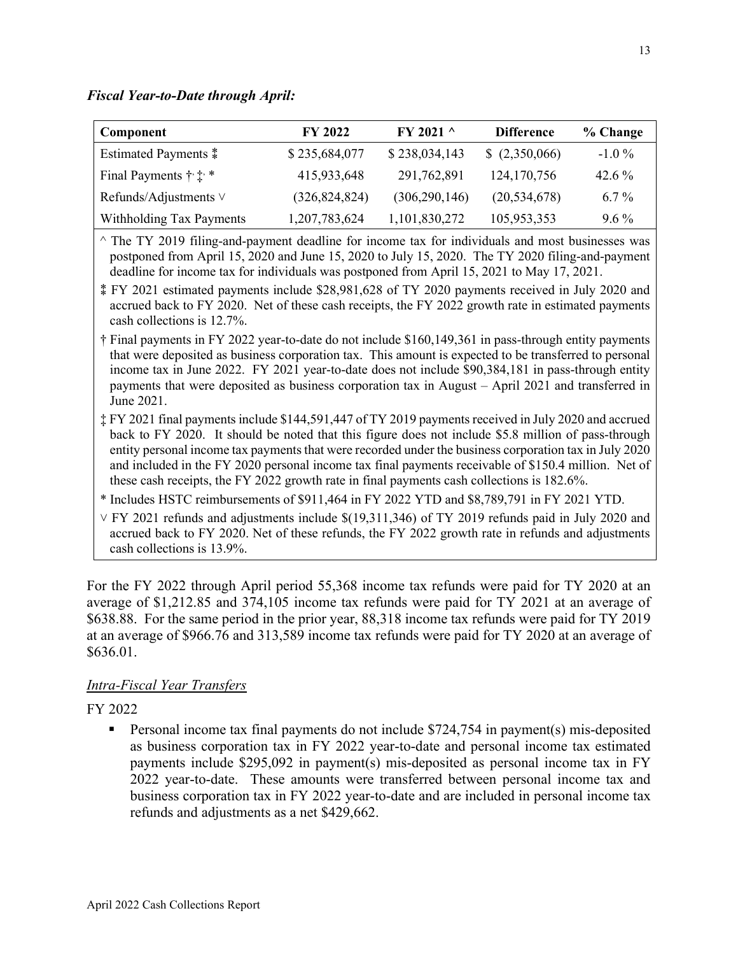*Fiscal Year-to-Date through April:* 

| Component                                | <b>FY 2022</b>  | $FY$ 2021 $\land$ | <b>Difference</b> | % Change |
|------------------------------------------|-----------------|-------------------|-------------------|----------|
| <b>Estimated Payments</b> $*$            | \$235,684,077   | \$238,034,143     | \$ (2,350,066)    | $-1.0\%$ |
| Final Payments $\dagger$ : $\dagger$ : * | 415,933,648     | 291,762,891       | 124, 170, 756     | $42.6\%$ |
| Refunds/Adjustments $\vee$               | (326, 824, 824) | (306, 290, 146)   | (20, 534, 678)    | $6.7\%$  |
| Withholding Tax Payments                 | 1,207,783,624   | 1,101,830,272     | 105,953,353       | $9.6\%$  |

 $\hat{\ }$  The TY 2019 filing-and-payment deadline for income tax for individuals and most businesses was postponed from April 15, 2020 and June 15, 2020 to July 15, 2020. The TY 2020 filing-and-payment deadline for income tax for individuals was postponed from April 15, 2021 to May 17, 2021.

⁑ FY 2021 estimated payments include \$28,981,628 of TY 2020 payments received in July 2020 and accrued back to FY 2020. Net of these cash receipts, the FY 2022 growth rate in estimated payments cash collections is 12.7%.

- † Final payments in FY 2022 year-to-date do not include \$160,149,361 in pass-through entity payments that were deposited as business corporation tax. This amount is expected to be transferred to personal income tax in June 2022. FY 2021 year-to-date does not include \$90,384,181 in pass-through entity payments that were deposited as business corporation tax in August – April 2021 and transferred in June 2021.
- ‡ FY 2021 final payments include \$144,591,447 of TY 2019 payments received in July 2020 and accrued back to FY 2020. It should be noted that this figure does not include \$5.8 million of pass-through entity personal income tax payments that were recorded under the business corporation tax in July 2020 and included in the FY 2020 personal income tax final payments receivable of \$150.4 million. Net of these cash receipts, the FY 2022 growth rate in final payments cash collections is 182.6%.
- \* Includes HSTC reimbursements of \$911,464 in FY 2022 YTD and \$8,789,791 in FY 2021 YTD.

 $\vee$  FY 2021 refunds and adjustments include \$(19,311,346) of TY 2019 refunds paid in July 2020 and accrued back to FY 2020. Net of these refunds, the FY 2022 growth rate in refunds and adjustments cash collections is 13.9%.

For the FY 2022 through April period 55,368 income tax refunds were paid for TY 2020 at an average of \$1,212.85 and 374,105 income tax refunds were paid for TY 2021 at an average of \$638.88. For the same period in the prior year, 88,318 income tax refunds were paid for TY 2019 at an average of \$966.76 and 313,589 income tax refunds were paid for TY 2020 at an average of \$636.01.

## *Intra-Fiscal Year Transfers*

FY 2022

 Personal income tax final payments do not include \$724,754 in payment(s) mis-deposited as business corporation tax in FY 2022 year-to-date and personal income tax estimated payments include \$295,092 in payment(s) mis-deposited as personal income tax in FY 2022 year-to-date. These amounts were transferred between personal income tax and business corporation tax in FY 2022 year-to-date and are included in personal income tax refunds and adjustments as a net \$429,662.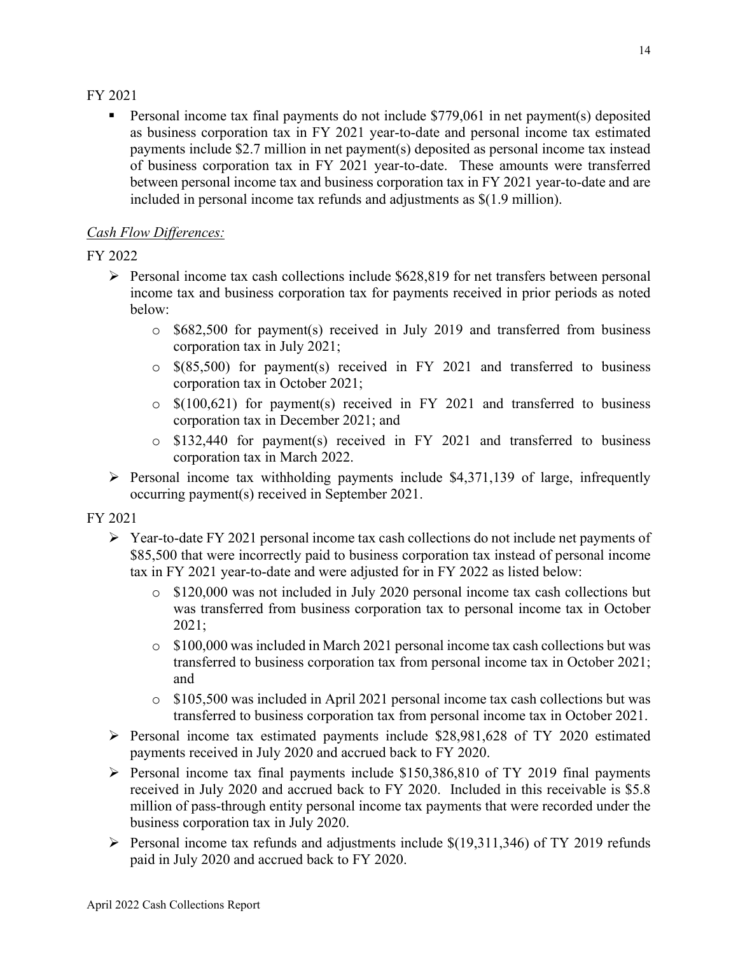#### <span id="page-13-0"></span>FY 2021

**Personal income tax final payments do not include \$779,061 in net payment(s) deposited** as business corporation tax in FY 2021 year-to-date and personal income tax estimated payments include \$2.7 million in net payment(s) deposited as personal income tax instead of business corporation tax in FY 2021 year-to-date. These amounts were transferred between personal income tax and business corporation tax in FY 2021 year-to-date and are included in personal income tax refunds and adjustments as \$(1.9 million).

## *Cash Flow Differences:*

## <span id="page-13-5"></span>FY 2022

- <span id="page-13-1"></span> $\triangleright$  Personal income tax cash collections include \$628,819 for net transfers between personal income tax and business corporation tax for payments received in prior periods as noted below:
	- o \$682,500 for payment(s) received in July 2019 and transferred from business corporation tax in July 2021;
	- o \$(85,500) for payment(s) received in FY 2021 and transferred to business corporation tax in October 2021;
	- o \$(100,621) for payment(s) received in FY 2021 and transferred to business corporation tax in December 2021; and
	- o \$132,440 for payment(s) received in FY 2021 and transferred to business corporation tax in March 2022.
- $\triangleright$  Personal income tax withholding payments include \$4,371,139 of large, infrequently occurring payment(s) received in September 2021.

<span id="page-13-2"></span>FY 2021

- <span id="page-13-4"></span><span id="page-13-3"></span> $\triangleright$  Year-to-date FY 2021 personal income tax cash collections do not include net payments of \$85,500 that were incorrectly paid to business corporation tax instead of personal income tax in FY 2021 year-to-date and were adjusted for in FY 2022 as listed below:
	- o \$120,000 was not included in July 2020 personal income tax cash collections but was transferred from business corporation tax to personal income tax in October 2021;
	- $\circ$  \$100,000 was included in March 2021 personal income tax cash collections but was transferred to business corporation tax from personal income tax in October 2021; and
	- o \$105,500 was included in April 2021 personal income tax cash collections but was transferred to business corporation tax from personal income tax in October 2021.
- $\triangleright$  Personal income tax estimated payments include \$28,981,628 of TY 2020 estimated payments received in July 2020 and accrued back to FY 2020.
- $\triangleright$  Personal income tax final payments include \$150,386,810 of TY 2019 final payments received in July 2020 and accrued back to FY 2020. Included in this receivable is \$5.8 million of pass-through entity personal income tax payments that were recorded under the business corporation tax in July 2020.
- $\triangleright$  Personal income tax refunds and adjustments include \$(19,311,346) of TY 2019 refunds paid in July 2020 and accrued back to FY 2020.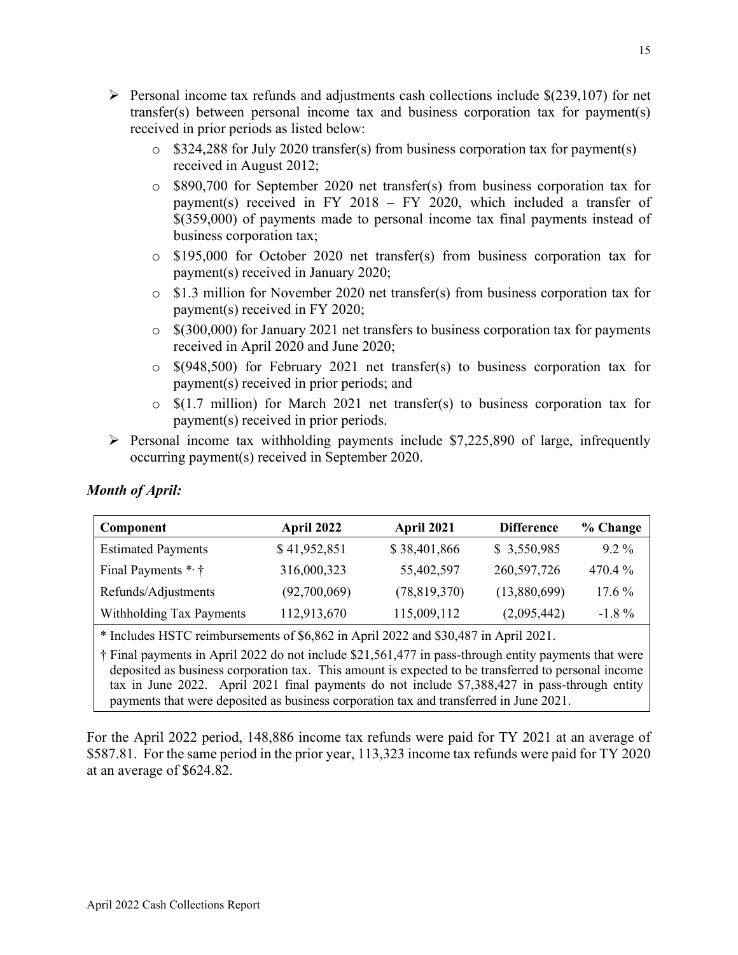- <span id="page-14-1"></span><span id="page-14-0"></span>Personal income tax refunds and adjustments cash collections include  $\S(239,107)$  for net transfer(s) between personal income tax and business corporation tax for payment(s) received in prior periods as listed below:
	- o \$324,288 for July 2020 transfer(s) from business corporation tax for payment(s) received in August 2012;
	- o \$890,700 for September 2020 net transfer(s) from business corporation tax for payment(s) received in FY 2018 – FY 2020, which included a transfer of \$(359,000) of payments made to personal income tax final payments instead of business corporation tax;
	- o \$195,000 for October 2020 net transfer(s) from business corporation tax for payment(s) received in January 2020;
	- o \$1.3 million for November 2020 net transfer(s) from business corporation tax for payment(s) received in FY 2020;
	- o \$(300,000) for January 2021 net transfers to business corporation tax for payments received in April 2020 and June 2020;
	- o \$(948,500) for February 2021 net transfer(s) to business corporation tax for payment(s) received in prior periods; and
	- $\circ$  \$(1.7 million) for March 2021 net transfer(s) to business corporation tax for payment(s) received in prior periods.
- $\triangleright$  Personal income tax withholding payments include \$7,225,890 of large, infrequently occurring payment(s) received in September 2020.

| Component                 | April 2022   | April 2021   | <b>Difference</b> | % Change  |
|---------------------------|--------------|--------------|-------------------|-----------|
| <b>Estimated Payments</b> | \$41,952,851 | \$38,401,866 | \$3,550,985       | $9.2\%$   |
| Final Payments * †        | 316,000,323  | 55,402,597   | 260,597,726       | $470.4\%$ |
| Refunds/Adjustments       | (92,700,069) | (78,819,370) | (13,880,699)      | $17.6\%$  |
| Withholding Tax Payments  | 112,913,670  | 115,009,112  | (2,095,442)       | $-1.8\%$  |
|                           |              |              |                   |           |

## *Month of April:*

\* Includes HSTC reimbursements of \$6,862 in April 2022 and \$30,487 in April 2021.

† Final payments in April 2022 do not include \$21,561,477 in pass-through entity payments that were deposited as business corporation tax. This amount is expected to be transferred to personal income tax in June 2022. April 2021 final payments do not include \$7,388,427 in pass-through entity payments that were deposited as business corporation tax and transferred in June 2021.

For the April 2022 period, 148,886 income tax refunds were paid for TY 2021 at an average of \$587.81. For the same period in the prior year, 113,323 income tax refunds were paid for TY 2020 at an average of \$624.82.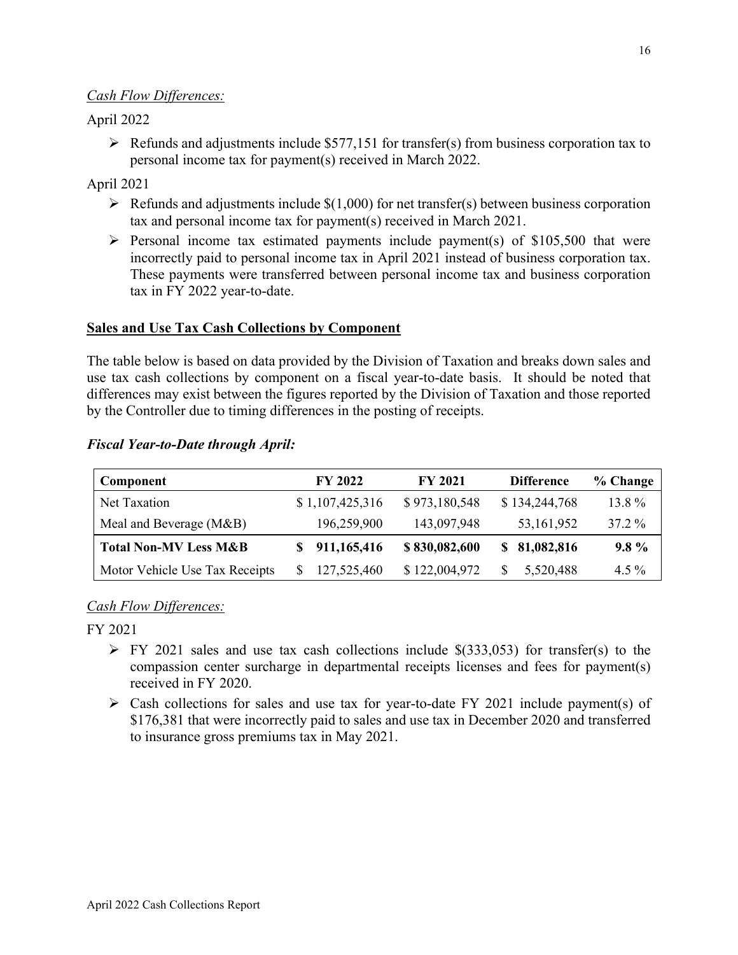#### <span id="page-15-4"></span><span id="page-15-3"></span><span id="page-15-2"></span>*Cash Flow Differences:*

### April 2022

 $\triangleright$  Refunds and adjustments include \$577,151 for transfer(s) from business corporation tax to personal income tax for payment(s) received in March 2022.

### April 2021

- $\triangleright$  Refunds and adjustments include \$(1,000) for net transfer(s) between business corporation tax and personal income tax for payment(s) received in March 2021.
- $\triangleright$  Personal income tax estimated payments include payment(s) of \$105,500 that were incorrectly paid to personal income tax in April 2021 instead of business corporation tax. These payments were transferred between personal income tax and business corporation tax in FY 2022 year-to-date.

#### **Sales and Use Tax Cash Collections by Component**

The table below is based on data provided by the Division of Taxation and breaks down sales and use tax cash collections by component on a fiscal year-to-date basis. It should be noted that differences may exist between the figures reported by the Division of Taxation and those reported by the Controller due to timing differences in the posting of receipts.

#### <span id="page-15-0"></span>*Fiscal Year-to-Date through April:*

<span id="page-15-1"></span>

| Component                        | FY 2022         | FY 2021       | <b>Difference</b> | % Change |
|----------------------------------|-----------------|---------------|-------------------|----------|
| Net Taxation                     | \$1,107,425,316 | \$973,180,548 | \$134,244,768     | 13.8 %   |
| Meal and Beverage (M&B)          | 196,259,900     | 143,097,948   | 53, 161, 952      | 37.2 %   |
| <b>Total Non-MV Less M&amp;B</b> | 911,165,416     | \$830,082,600 | \$81,082,816      | $9.8\%$  |
| Motor Vehicle Use Tax Receipts   | 127,525,460     | \$122,004,972 | 5,520,488         | $4.5\%$  |

## *Cash Flow Differences:*

FY 2021

- $\triangleright$  FY 2021 sales and use tax cash collections include \$(333,053) for transfer(s) to the compassion center surcharge in departmental receipts licenses and fees for payment(s) received in FY 2020.
- $\triangleright$  Cash collections for sales and use tax for year-to-date FY 2021 include payment(s) of \$176,381 that were incorrectly paid to sales and use tax in December 2020 and transferred to insurance gross premiums tax in May 2021.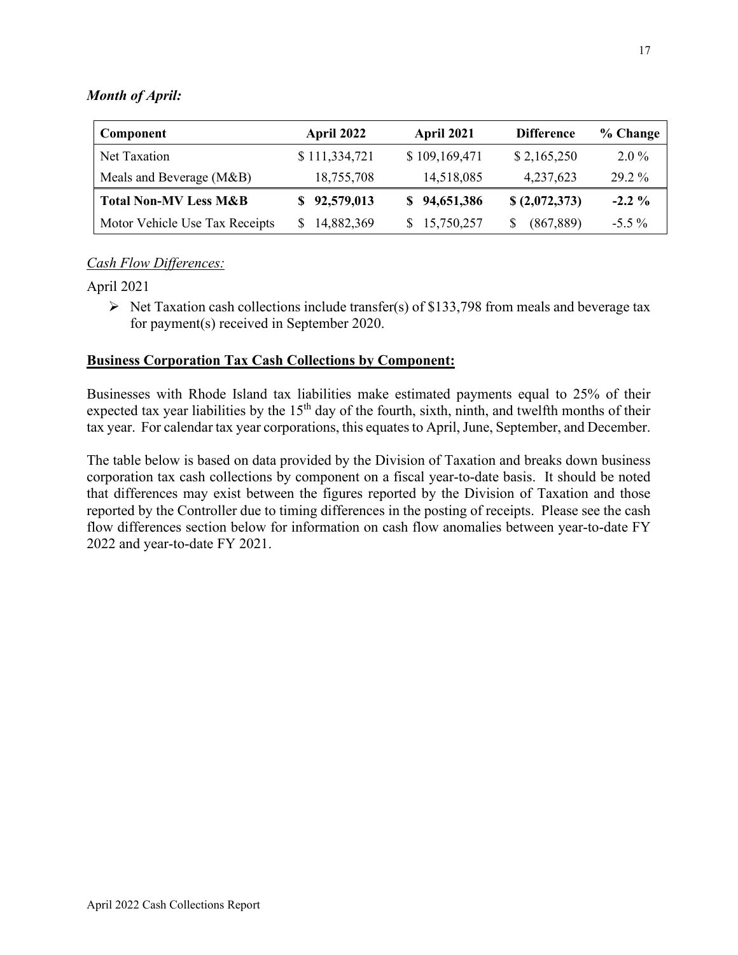### <span id="page-16-0"></span>*Month of April:*

| Component                        | April 2022    | April 2021    | <b>Difference</b> | % Change |
|----------------------------------|---------------|---------------|-------------------|----------|
| Net Taxation                     | \$111,334,721 | \$109,169,471 | \$2,165,250       | $2.0\%$  |
| Meals and Beverage (M&B)         | 18,755,708    | 14,518,085    | 4,237,623         | 29.2 %   |
| <b>Total Non-MV Less M&amp;B</b> | \$92,579,013  | \$94,651,386  | \$(2,072,373)     | $-2.2\%$ |
| Motor Vehicle Use Tax Receipts   | 14,882,369    | 15,750,257    | (867, 889)        | $-5.5\%$ |

#### *Cash Flow Differences:*

#### April 2021

 $\triangleright$  Net Taxation cash collections include transfer(s) of \$133,798 from meals and beverage tax for payment(s) received in September 2020.

#### **Business Corporation Tax Cash Collections by Component:**

Businesses with Rhode Island tax liabilities make estimated payments equal to 25% of their expected tax year liabilities by the 15<sup>th</sup> day of the fourth, sixth, ninth, and twelfth months of their tax year. For calendar tax year corporations, this equates to April, June, September, and December.

The table below is based on data provided by the Division of Taxation and breaks down business corporation tax cash collections by component on a fiscal year-to-date basis. It should be noted that differences may exist between the figures reported by the Division of Taxation and those reported by the Controller due to timing differences in the posting of receipts. Please see the cash flow differences section below for information on cash flow anomalies between year-to-date FY 2022 and year-to-date FY 2021.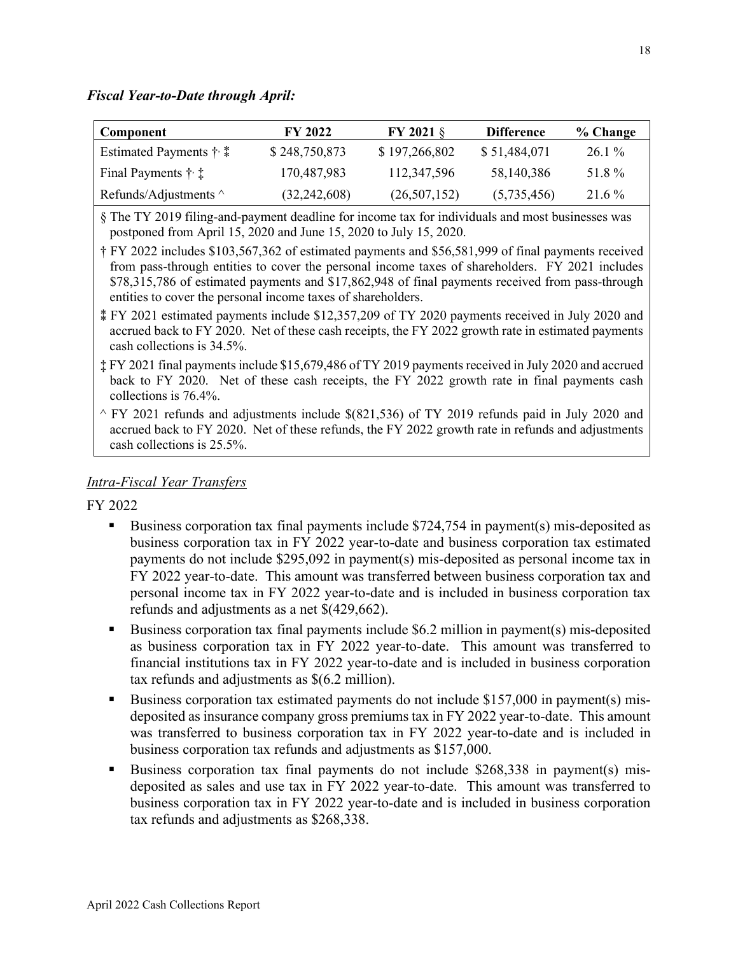#### *Fiscal Year-to-Date through April:*

| Component                                 | <b>FY 2022</b> | <b>FY 2021 <math>\S</math></b> | <b>Difference</b> | % Change |
|-------------------------------------------|----------------|--------------------------------|-------------------|----------|
| Estimated Payments $\dagger$ : $\ddagger$ | \$248,750,873  | \$197,266,802                  | \$51,484,071      | $26.1\%$ |
| Final Payments $\dagger$ :                | 170,487,983    | 112,347,596                    | 58,140,386        | 51.8%    |
| Refunds/Adjustments $\wedge$              | (32, 242, 608) | (26,507,152)                   | (5,735,456)       | $21.6\%$ |

§ The TY 2019 filing-and-payment deadline for income tax for individuals and most businesses was postponed from April 15, 2020 and June 15, 2020 to July 15, 2020.

† FY 2022 includes \$103,567,362 of estimated payments and \$56,581,999 of final payments received from pass-through entities to cover the personal income taxes of shareholders. FY 2021 includes \$78,315,786 of estimated payments and \$17,862,948 of final payments received from pass-through entities to cover the personal income taxes of shareholders.

‡ FY 2021 final payments include \$15,679,486 of TY 2019 payments received in July 2020 and accrued back to FY 2020. Net of these cash receipts, the FY 2022 growth rate in final payments cash collections is 76.4%.

 $\sim$  FY 2021 refunds and adjustments include \$(821,536) of TY 2019 refunds paid in July 2020 and accrued back to FY 2020. Net of these refunds, the FY 2022 growth rate in refunds and adjustments cash collections is 25.5%.

#### *Intra-Fiscal Year Transfers*

#### FY 2022

- Business corporation tax final payments include \$724,754 in payment(s) mis-deposited as business corporation tax in FY 2022 year-to-date and business corporation tax estimated payments do not include \$295,092 in payment(s) mis-deposited as personal income tax in FY 2022 year-to-date. This amount was transferred between business corporation tax and personal income tax in FY 2022 year-to-date and is included in business corporation tax refunds and adjustments as a net \$(429,662).
- Business corporation tax final payments include \$6.2 million in payment(s) mis-deposited as business corporation tax in FY 2022 year-to-date. This amount was transferred to financial institutions tax in FY 2022 year-to-date and is included in business corporation tax refunds and adjustments as \$(6.2 million).
- Business corporation tax estimated payments do not include \$157,000 in payment(s) misdeposited as insurance company gross premiums tax in FY 2022 year-to-date. This amount was transferred to business corporation tax in FY 2022 year-to-date and is included in business corporation tax refunds and adjustments as \$157,000.
- Business corporation tax final payments do not include \$268,338 in payment(s) misdeposited as sales and use tax in FY 2022 year-to-date. This amount was transferred to business corporation tax in FY 2022 year-to-date and is included in business corporation tax refunds and adjustments as \$268,338.

<sup>⁑</sup> FY 2021 estimated payments include \$12,357,209 of TY 2020 payments received in July 2020 and accrued back to FY 2020. Net of these cash receipts, the FY 2022 growth rate in estimated payments cash collections is 34.5%.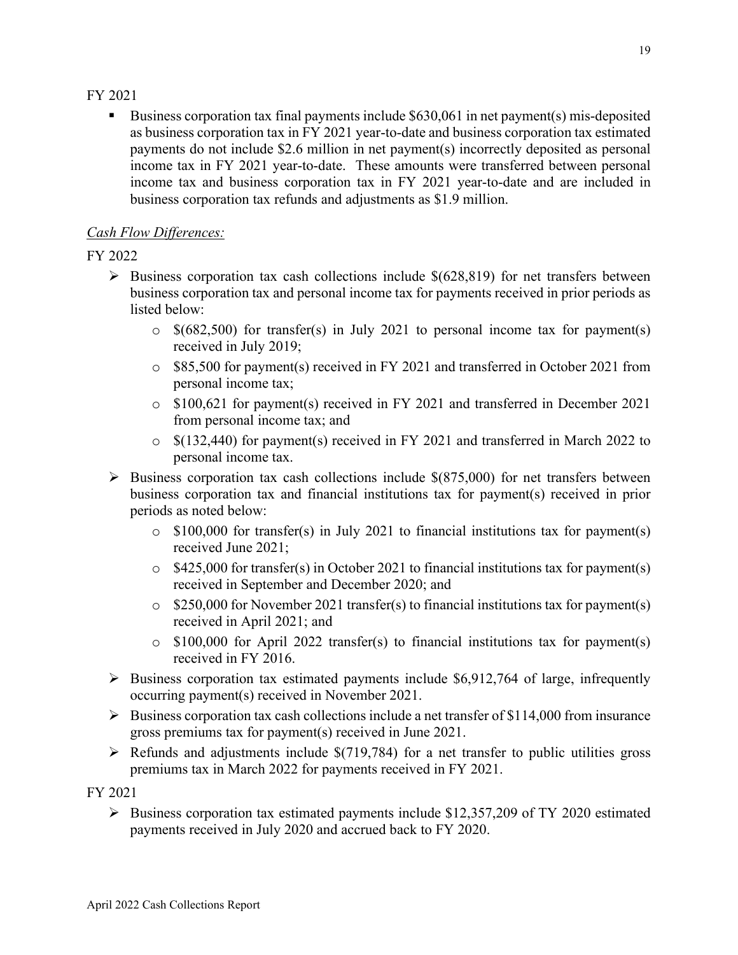#### <span id="page-18-0"></span>FY 2021

Business corporation tax final payments include \$630,061 in net payment(s) mis-deposited as business corporation tax in FY 2021 year-to-date and business corporation tax estimated payments do not include \$2.6 million in net payment(s) incorrectly deposited as personal income tax in FY 2021 year-to-date. These amounts were transferred between personal income tax and business corporation tax in FY 2021 year-to-date and are included in business corporation tax refunds and adjustments as \$1.9 million.

## *Cash Flow Differences:*

## <span id="page-18-1"></span>FY 2022

- $\triangleright$  Business corporation tax cash collections include \$(628,819) for net transfers between business corporation tax and personal income tax for payments received in prior periods as listed below:
	- $\circ$  \$(682,500) for transfer(s) in July 2021 to personal income tax for payment(s) received in July 2019;
	- o \$85,500 for payment(s) received in FY 2021 and transferred in October 2021 from personal income tax;
	- o \$100,621 for payment(s) received in FY 2021 and transferred in December 2021 from personal income tax; and
	- o \$(132,440) for payment(s) received in FY 2021 and transferred in March 2022 to personal income tax.
- <span id="page-18-4"></span><span id="page-18-3"></span><span id="page-18-2"></span> $\triangleright$  Business corporation tax cash collections include \$(875,000) for net transfers between business corporation tax and financial institutions tax for payment(s) received in prior periods as noted below:
	- o \$100,000 for transfer(s) in July 2021 to financial institutions tax for payment(s) received June 2021;
	- o \$425,000 for transfer(s) in October 2021 to financial institutions tax for payment(s) received in September and December 2020; and
	- o \$250,000 for November 2021 transfer(s) to financial institutions tax for payment(s) received in April 2021; and
	- o \$100,000 for April 2022 transfer(s) to financial institutions tax for payment(s) received in FY 2016.
- <span id="page-18-5"></span> $\triangleright$  Business corporation tax estimated payments include \$6,912,764 of large, infrequently occurring payment(s) received in November 2021.
- $\triangleright$  Business corporation tax cash collections include a net transfer of \$114,000 from insurance gross premiums tax for payment(s) received in June 2021.
- $\triangleright$  Refunds and adjustments include \$(719,784) for a net transfer to public utilities gross premiums tax in March 2022 for payments received in FY 2021.

FY 2021

 $\triangleright$  Business corporation tax estimated payments include \$12,357,209 of TY 2020 estimated payments received in July 2020 and accrued back to FY 2020.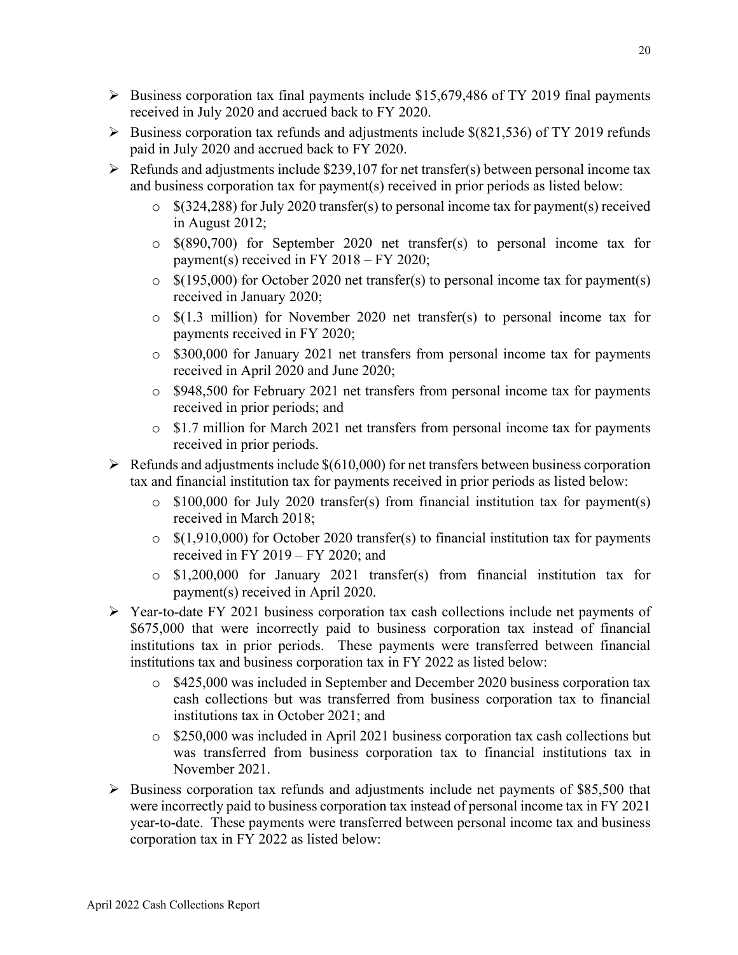- <span id="page-19-4"></span><span id="page-19-3"></span><span id="page-19-2"></span> $\triangleright$  Business corporation tax final payments include \$15,679,486 of TY 2019 final payments received in July 2020 and accrued back to FY 2020.
- $\triangleright$  Business corporation tax refunds and adjustments include \$(821,536) of TY 2019 refunds paid in July 2020 and accrued back to FY 2020.
- <span id="page-19-5"></span> $\triangleright$  Refunds and adjustments include \$239,107 for net transfer(s) between personal income tax and business corporation tax for payment(s) received in prior periods as listed below:
	- $\degree$  \$(324,288) for July 2020 transfer(s) to personal income tax for payment(s) received in August 2012;
	- o \$(890,700) for September 2020 net transfer(s) to personal income tax for payment(s) received in FY 2018 – FY 2020;
	- $\degree$  \$(195,000) for October 2020 net transfer(s) to personal income tax for payment(s) received in January 2020;
	- o \$(1.3 million) for November 2020 net transfer(s) to personal income tax for payments received in FY 2020;
	- o \$300,000 for January 2021 net transfers from personal income tax for payments received in April 2020 and June 2020;
	- o \$948,500 for February 2021 net transfers from personal income tax for payments received in prior periods; and
	- o \$1.7 million for March 2021 net transfers from personal income tax for payments received in prior periods.
- <span id="page-19-1"></span> $\triangleright$  Refunds and adjustments include \$(610,000) for net transfers between business corporation tax and financial institution tax for payments received in prior periods as listed below:
	- $\circ$  \$100,000 for July 2020 transfer(s) from financial institution tax for payment(s) received in March 2018;
	- $\circ$  \$(1,910,000) for October 2020 transfer(s) to financial institution tax for payments received in FY 2019 – FY 2020; and
	- o \$1,200,000 for January 2021 transfer(s) from financial institution tax for payment(s) received in April 2020.
- <span id="page-19-0"></span> Year-to-date FY 2021 business corporation tax cash collections include net payments of \$675,000 that were incorrectly paid to business corporation tax instead of financial institutions tax in prior periods. These payments were transferred between financial institutions tax and business corporation tax in FY 2022 as listed below:
	- o \$425,000 was included in September and December 2020 business corporation tax cash collections but was transferred from business corporation tax to financial institutions tax in October 2021; and
	- o \$250,000 was included in April 2021 business corporation tax cash collections but was transferred from business corporation tax to financial institutions tax in November 2021.
- $\triangleright$  Business corporation tax refunds and adjustments include net payments of \$85,500 that were incorrectly paid to business corporation tax instead of personal income tax in FY 2021 year-to-date. These payments were transferred between personal income tax and business corporation tax in FY 2022 as listed below: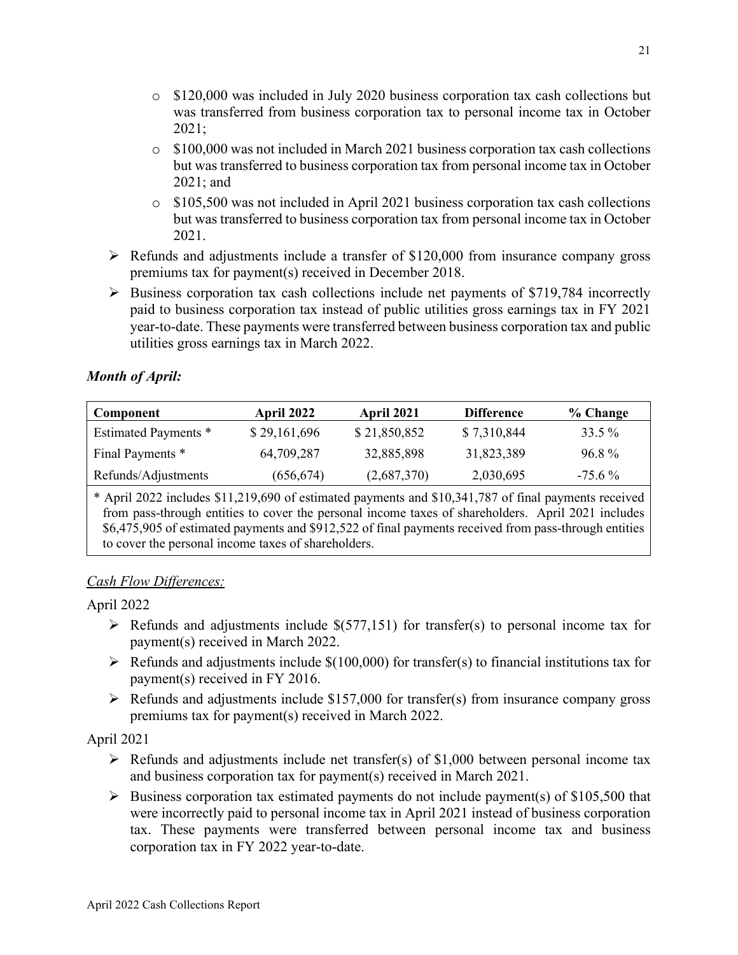- <span id="page-20-1"></span><span id="page-20-0"></span>o \$120,000 was included in July 2020 business corporation tax cash collections but was transferred from business corporation tax to personal income tax in October 2021;
- $\circ$  \$100,000 was not included in March 2021 business corporation tax cash collections but was transferred to business corporation tax from personal income tax in October 2021; and
- $\circ$  \$105,500 was not included in April 2021 business corporation tax cash collections but was transferred to business corporation tax from personal income tax in October 2021.
- $\triangleright$  Refunds and adjustments include a transfer of \$120,000 from insurance company gross premiums tax for payment(s) received in December 2018.
- $\triangleright$  Business corporation tax cash collections include net payments of \$719,784 incorrectly paid to business corporation tax instead of public utilities gross earnings tax in FY 2021 year-to-date. These payments were transferred between business corporation tax and public utilities gross earnings tax in March 2022.

# *Month of April:*

<span id="page-20-3"></span><span id="page-20-2"></span>

| Component                                                                                                                                                                                                                                                                                                           | April 2022   | April 2021   | <b>Difference</b> | % Change  |
|---------------------------------------------------------------------------------------------------------------------------------------------------------------------------------------------------------------------------------------------------------------------------------------------------------------------|--------------|--------------|-------------------|-----------|
| <b>Estimated Payments *</b>                                                                                                                                                                                                                                                                                         | \$29,161,696 | \$21,850,852 | \$7,310,844       | 33.5 %    |
| Final Payments *                                                                                                                                                                                                                                                                                                    | 64,709,287   | 32,885,898   | 31,823,389        | 96.8%     |
| Refunds/Adjustments                                                                                                                                                                                                                                                                                                 | (656, 674)   | (2,687,370)  | 2,030,695         | $-75.6\%$ |
| * April 2022 includes \$11,219,690 of estimated payments and \$10,341,787 of final payments received<br>from pass-through entities to cover the personal income taxes of shareholders. April 2021 includes<br>\$6,475,905 of estimated payments and \$912,522 of final payments received from pass-through entities |              |              |                   |           |

<span id="page-20-5"></span><span id="page-20-4"></span>to cover the personal income taxes of shareholders.

# <span id="page-20-6"></span>*Cash Flow Differences:*

April 2022

- $\triangleright$  Refunds and adjustments include \$(577,151) for transfer(s) to personal income tax for payment(s) received in March 2022.
- $\triangleright$  Refunds and adjustments include \$(100,000) for transfer(s) to financial institutions tax for payment(s) received in FY 2016.
- $\triangleright$  Refunds and adjustments include \$157,000 for transfer(s) from insurance company gross premiums tax for payment(s) received in March 2022.

April 2021

- $\triangleright$  Refunds and adjustments include net transfer(s) of \$1,000 between personal income tax and business corporation tax for payment(s) received in March 2021.
- $\triangleright$  Business corporation tax estimated payments do not include payment(s) of \$105,500 that were incorrectly paid to personal income tax in April 2021 instead of business corporation tax. These payments were transferred between personal income tax and business corporation tax in FY 2022 year-to-date.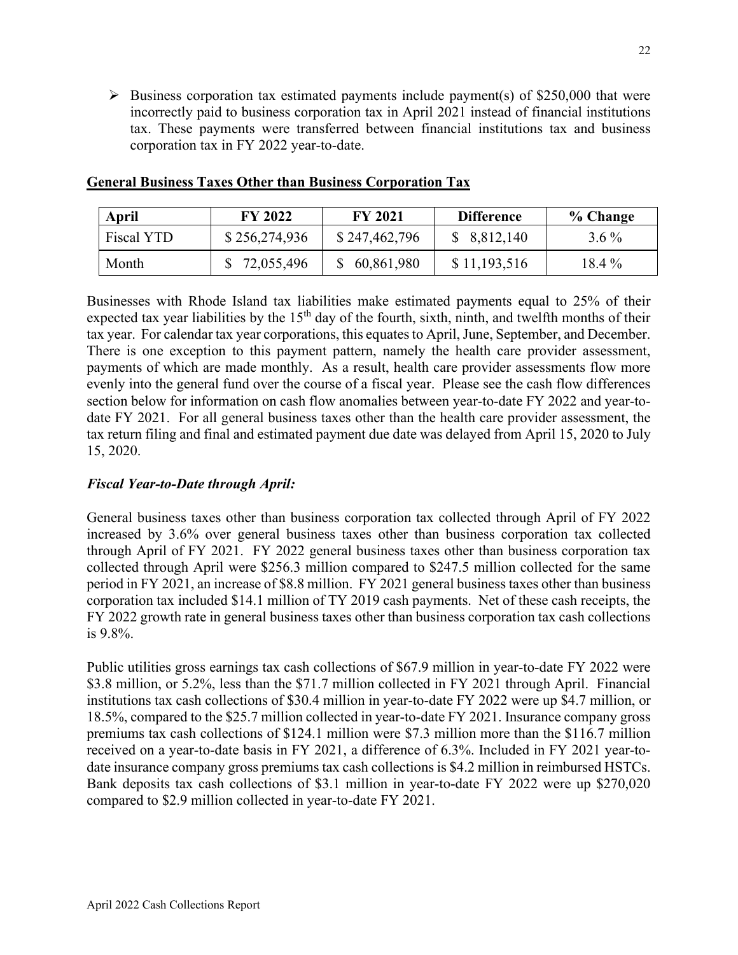<span id="page-21-0"></span> $\triangleright$  Business corporation tax estimated payments include payment(s) of \$250,000 that were incorrectly paid to business corporation tax in April 2021 instead of financial institutions tax. These payments were transferred between financial institutions tax and business corporation tax in FY 2022 year-to-date.

| <b>April</b> | <b>FY 2022</b> | <b>FY 2021</b> | <b>Difference</b> | % Change |
|--------------|----------------|----------------|-------------------|----------|
| Fiscal YTD   | \$256,274,936  | \$247,462,796  | \$8,812,140       | $3.6\%$  |
| Month        | 72,055,496     | 60,861,980     | \$11,193,516      | $18.4\%$ |

#### **General Business Taxes Other than Business Corporation Tax**

Businesses with Rhode Island tax liabilities make estimated payments equal to 25% of their expected tax year liabilities by the  $15<sup>th</sup>$  day of the fourth, sixth, ninth, and twelfth months of their tax year. For calendar tax year corporations, this equates to April, June, September, and December. There is one exception to this payment pattern, namely the health care provider assessment, payments of which are made monthly. As a result, health care provider assessments flow more evenly into the general fund over the course of a fiscal year. Please see the cash flow differences section below for information on cash flow anomalies between year-to-date FY 2022 and year-todate FY 2021. For all general business taxes other than the health care provider assessment, the tax return filing and final and estimated payment due date was delayed from April 15, 2020 to July 15, 2020.

## *Fiscal Year-to-Date through April:*

General business taxes other than business corporation tax collected through April of FY 2022 increased by 3.6% over general business taxes other than business corporation tax collected through April of FY 2021. FY 2022 general business taxes other than business corporation tax collected through April were \$256.3 million compared to \$247.5 million collected for the same period in FY 2021, an increase of \$8.8 million. FY 2021 general business taxes other than business corporation tax included \$14.1 million of TY 2019 cash payments. Net of these cash receipts, the FY 2022 growth rate in general business taxes other than business corporation tax cash collections is 9.8%.

Public utilities gross earnings tax cash collections of \$67.9 million in year-to-date FY 2022 were \$3.8 million, or 5.2%, less than the \$71.7 million collected in FY 2021 through April. Financial institutions tax cash collections of \$30.4 million in year-to-date FY 2022 were up \$4.7 million, or 18.5%, compared to the \$25.7 million collected in year-to-date FY 2021. Insurance company gross premiums tax cash collections of \$124.1 million were \$7.3 million more than the \$116.7 million received on a year-to-date basis in FY 2021, a difference of 6.3%. Included in FY 2021 year-todate insurance company gross premiums tax cash collections is \$4.2 million in reimbursed HSTCs. Bank deposits tax cash collections of \$3.1 million in year-to-date FY 2022 were up \$270,020 compared to \$2.9 million collected in year-to-date FY 2021.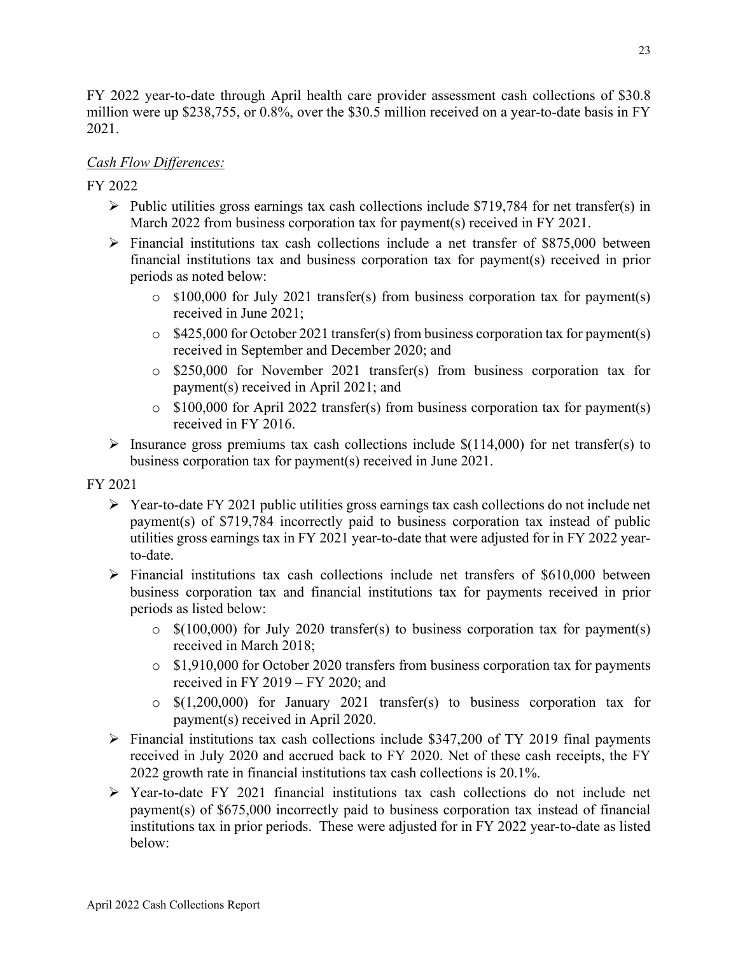<span id="page-22-2"></span><span id="page-22-0"></span>FY 2022 year-to-date through April health care provider assessment cash collections of \$30.8 million were up \$238,755, or 0.8%, over the \$30.5 million received on a year-to-date basis in FY 2021.

## *Cash Flow Differences:*

FY 2022

- <span id="page-22-6"></span> $\triangleright$  Public utilities gross earnings tax cash collections include \$719,784 for net transfer(s) in March 2022 from business corporation tax for payment(s) received in FY 2021.
- <span id="page-22-1"></span> $\triangleright$  Financial institutions tax cash collections include a net transfer of \$875,000 between financial institutions tax and business corporation tax for payment(s) received in prior periods as noted below:
	- o \$100,000 for July 2021 transfer(s) from business corporation tax for payment(s) received in June 2021;
	- o \$425,000 for October 2021 transfer(s) from business corporation tax for payment(s) received in September and December 2020; and
	- o \$250,000 for November 2021 transfer(s) from business corporation tax for payment(s) received in April 2021; and
	- $\circ$  \$100,000 for April 2022 transfer(s) from business corporation tax for payment(s) received in FY 2016.
- <span id="page-22-4"></span> $\triangleright$  Insurance gross premiums tax cash collections include \$(114,000) for net transfer(s) to business corporation tax for payment(s) received in June 2021.

FY 2021

- <span id="page-22-5"></span> $\triangleright$  Year-to-date FY 2021 public utilities gross earnings tax cash collections do not include net payment(s) of \$719,784 incorrectly paid to business corporation tax instead of public utilities gross earnings tax in FY 2021 year-to-date that were adjusted for in FY 2022 yearto-date.
- <span id="page-22-3"></span> $\triangleright$  Financial institutions tax cash collections include net transfers of \$610,000 between business corporation tax and financial institutions tax for payments received in prior periods as listed below:
	- $\circ$  \$(100,000) for July 2020 transfer(s) to business corporation tax for payment(s) received in March 2018;
	- $\circ$  \$1,910,000 for October 2020 transfers from business corporation tax for payments received in FY 2019 – FY 2020; and
	- o \$(1,200,000) for January 2021 transfer(s) to business corporation tax for payment(s) received in April 2020.
- $\triangleright$  Financial institutions tax cash collections include \$347,200 of TY 2019 final payments received in July 2020 and accrued back to FY 2020. Net of these cash receipts, the FY 2022 growth rate in financial institutions tax cash collections is 20.1%.
- $\triangleright$  Year-to-date FY 2021 financial institutions tax cash collections do not include net payment(s) of \$675,000 incorrectly paid to business corporation tax instead of financial institutions tax in prior periods. These were adjusted for in FY 2022 year-to-date as listed below: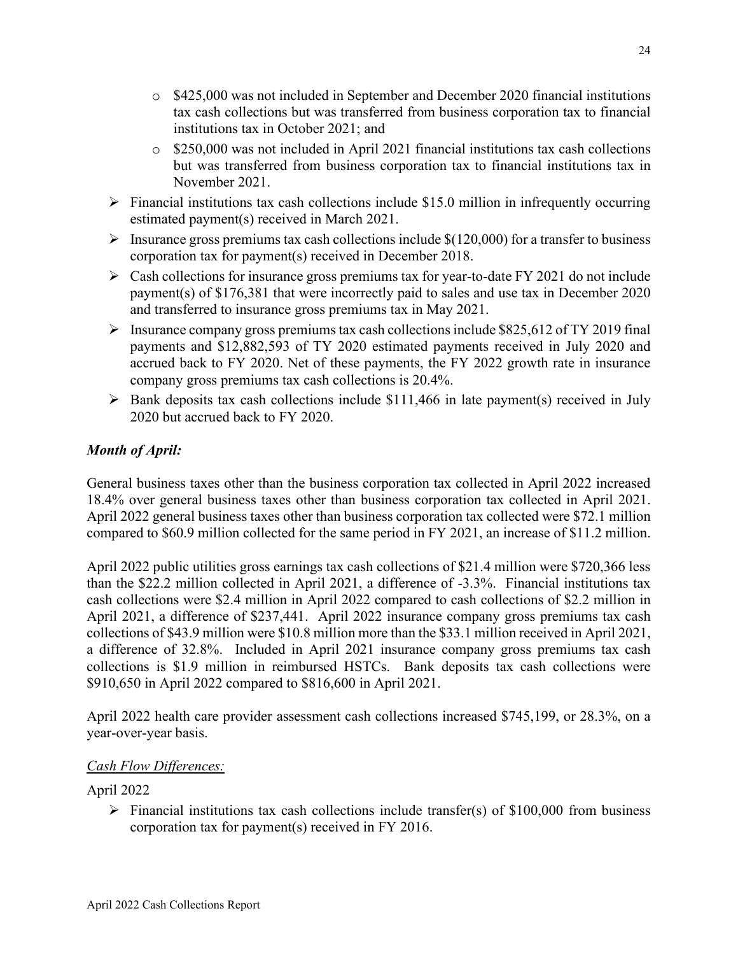- <span id="page-23-3"></span><span id="page-23-2"></span><span id="page-23-1"></span><span id="page-23-0"></span>o \$425,000 was not included in September and December 2020 financial institutions tax cash collections but was transferred from business corporation tax to financial institutions tax in October 2021; and
- $\circ$  \$250,000 was not included in April 2021 financial institutions tax cash collections but was transferred from business corporation tax to financial institutions tax in November 2021.
- <span id="page-23-4"></span> $\triangleright$  Financial institutions tax cash collections include \$15.0 million in infrequently occurring estimated payment(s) received in March 2021.
- $\triangleright$  Insurance gross premiums tax cash collections include \$(120,000) for a transfer to business corporation tax for payment(s) received in December 2018.
- $\triangleright$  Cash collections for insurance gross premiums tax for year-to-date FY 2021 do not include payment(s) of \$176,381 that were incorrectly paid to sales and use tax in December 2020 and transferred to insurance gross premiums tax in May 2021.
- $\triangleright$  Insurance company gross premiums tax cash collections include \$825,612 of TY 2019 final payments and \$12,882,593 of TY 2020 estimated payments received in July 2020 and accrued back to FY 2020. Net of these payments, the FY 2022 growth rate in insurance company gross premiums tax cash collections is 20.4%.
- $\triangleright$  Bank deposits tax cash collections include \$111,466 in late payment(s) received in July 2020 but accrued back to FY 2020.

# *Month of April:*

General business taxes other than the business corporation tax collected in April 2022 increased 18.4% over general business taxes other than business corporation tax collected in April 2021. April 2022 general business taxes other than business corporation tax collected were \$72.1 million compared to \$60.9 million collected for the same period in FY 2021, an increase of \$11.2 million.

<span id="page-23-5"></span>April 2022 public utilities gross earnings tax cash collections of \$21.4 million were \$720,366 less than the \$22.2 million collected in April 2021, a difference of -3.3%. Financial institutions tax cash collections were \$2.4 million in April 2022 compared to cash collections of \$2.2 million in April 2021, a difference of \$237,441. April 2022 insurance company gross premiums tax cash collections of \$43.9 million were \$10.8 million more than the \$33.1 million received in April 2021, a difference of 32.8%. Included in April 2021 insurance company gross premiums tax cash collections is \$1.9 million in reimbursed HSTCs. Bank deposits tax cash collections were \$910,650 in April 2022 compared to \$816,600 in April 2021.

April 2022 health care provider assessment cash collections increased \$745,199, or 28.3%, on a year-over-year basis.

## *Cash Flow Differences:*

## April 2022

 $\triangleright$  Financial institutions tax cash collections include transfer(s) of \$100,000 from business corporation tax for payment(s) received in FY 2016.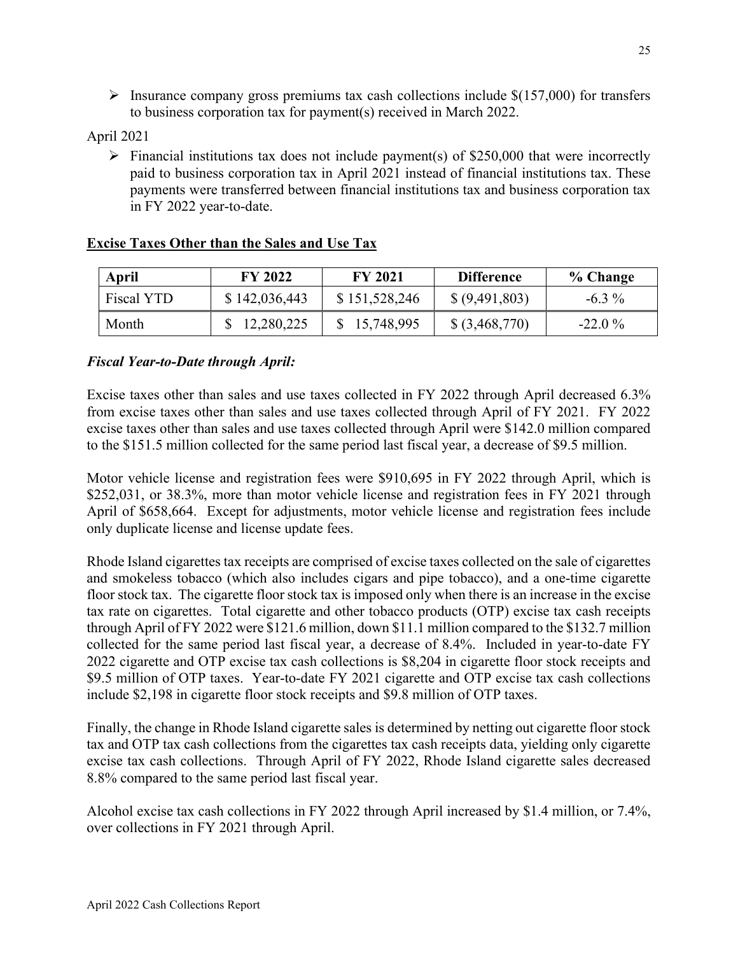<span id="page-24-1"></span><span id="page-24-0"></span> $\triangleright$  Insurance company gross premiums tax cash collections include \$(157,000) for transfers to business corporation tax for payment(s) received in March 2022.

April 2021

Financial institutions tax does not include payment(s) of \$250,000 that were incorrectly paid to business corporation tax in April 2021 instead of financial institutions tax. These payments were transferred between financial institutions tax and business corporation tax in FY 2022 year-to-date.

| April      | <b>FY 2022</b> | <b>FY 2021</b> | <b>Difference</b> | % Change |
|------------|----------------|----------------|-------------------|----------|
| Fiscal YTD | \$142,036,443  | \$151,528,246  | \$ (9,491,803)    | $-6.3\%$ |
| Month      | \$12,280,225   | 15,748,995     | $$$ (3,468,770)   | $-22.0%$ |

#### **Excise Taxes Other than the Sales and Use Tax**

#### *Fiscal Year-to-Date through April:*

Excise taxes other than sales and use taxes collected in FY 2022 through April decreased 6.3% from excise taxes other than sales and use taxes collected through April of FY 2021. FY 2022 excise taxes other than sales and use taxes collected through April were \$142.0 million compared to the \$151.5 million collected for the same period last fiscal year, a decrease of \$9.5 million.

Motor vehicle license and registration fees were \$910,695 in FY 2022 through April, which is \$252,031, or 38.3%, more than motor vehicle license and registration fees in FY 2021 through April of \$658,664. Except for adjustments, motor vehicle license and registration fees include only duplicate license and license update fees.

Rhode Island cigarettes tax receipts are comprised of excise taxes collected on the sale of cigarettes and smokeless tobacco (which also includes cigars and pipe tobacco), and a one-time cigarette floor stock tax. The cigarette floor stock tax is imposed only when there is an increase in the excise tax rate on cigarettes. Total cigarette and other tobacco products (OTP) excise tax cash receipts through April of FY 2022 were \$121.6 million, down \$11.1 million compared to the \$132.7 million collected for the same period last fiscal year, a decrease of 8.4%. Included in year-to-date FY 2022 cigarette and OTP excise tax cash collections is \$8,204 in cigarette floor stock receipts and \$9.5 million of OTP taxes. Year-to-date FY 2021 cigarette and OTP excise tax cash collections include \$2,198 in cigarette floor stock receipts and \$9.8 million of OTP taxes.

Finally, the change in Rhode Island cigarette sales is determined by netting out cigarette floor stock tax and OTP tax cash collections from the cigarettes tax cash receipts data, yielding only cigarette excise tax cash collections. Through April of FY 2022, Rhode Island cigarette sales decreased 8.8% compared to the same period last fiscal year.

Alcohol excise tax cash collections in FY 2022 through April increased by \$1.4 million, or 7.4%, over collections in FY 2021 through April.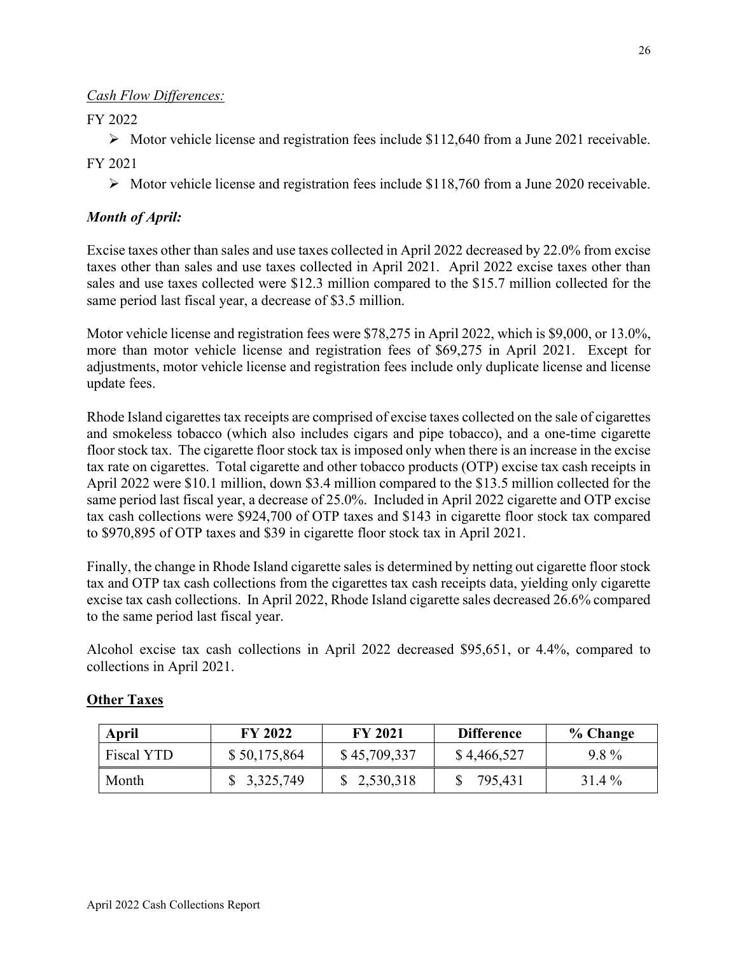## <span id="page-25-1"></span><span id="page-25-0"></span>*Cash Flow Differences:*

# FY 2022

 $\triangleright$  Motor vehicle license and registration fees include \$112,640 from a June 2021 receivable.

FY 2021

 $\triangleright$  Motor vehicle license and registration fees include \$118,760 from a June 2020 receivable.

## *Month of April:*

Excise taxes other than sales and use taxes collected in April 2022 decreased by 22.0% from excise taxes other than sales and use taxes collected in April 2021. April 2022 excise taxes other than sales and use taxes collected were \$12.3 million compared to the \$15.7 million collected for the same period last fiscal year, a decrease of \$3.5 million.

Motor vehicle license and registration fees were \$78,275 in April 2022, which is \$9,000, or 13.0%, more than motor vehicle license and registration fees of \$69,275 in April 2021. Except for adjustments, motor vehicle license and registration fees include only duplicate license and license update fees.

Rhode Island cigarettes tax receipts are comprised of excise taxes collected on the sale of cigarettes and smokeless tobacco (which also includes cigars and pipe tobacco), and a one-time cigarette floor stock tax. The cigarette floor stock tax is imposed only when there is an increase in the excise tax rate on cigarettes. Total cigarette and other tobacco products (OTP) excise tax cash receipts in April 2022 were \$10.1 million, down \$3.4 million compared to the \$13.5 million collected for the same period last fiscal year, a decrease of 25.0%. Included in April 2022 cigarette and OTP excise tax cash collections were \$924,700 of OTP taxes and \$143 in cigarette floor stock tax compared to \$970,895 of OTP taxes and \$39 in cigarette floor stock tax in April 2021.

Finally, the change in Rhode Island cigarette sales is determined by netting out cigarette floor stock tax and OTP tax cash collections from the cigarettes tax cash receipts data, yielding only cigarette excise tax cash collections. In April 2022, Rhode Island cigarette sales decreased 26.6% compared to the same period last fiscal year.

Alcohol excise tax cash collections in April 2022 decreased \$95,651, or 4.4%, compared to collections in April 2021.

| April      | <b>FY 2022</b> | <b>FY 2021</b> | <b>Difference</b> | % Change |
|------------|----------------|----------------|-------------------|----------|
| Fiscal YTD | \$50,175,864   | \$45,709,337   | \$4,466,527       | 9.8%     |
| Month      | \$3,325,749    | \$2,530,318    | 795,431           | 31.4 %   |

# **Other Taxes**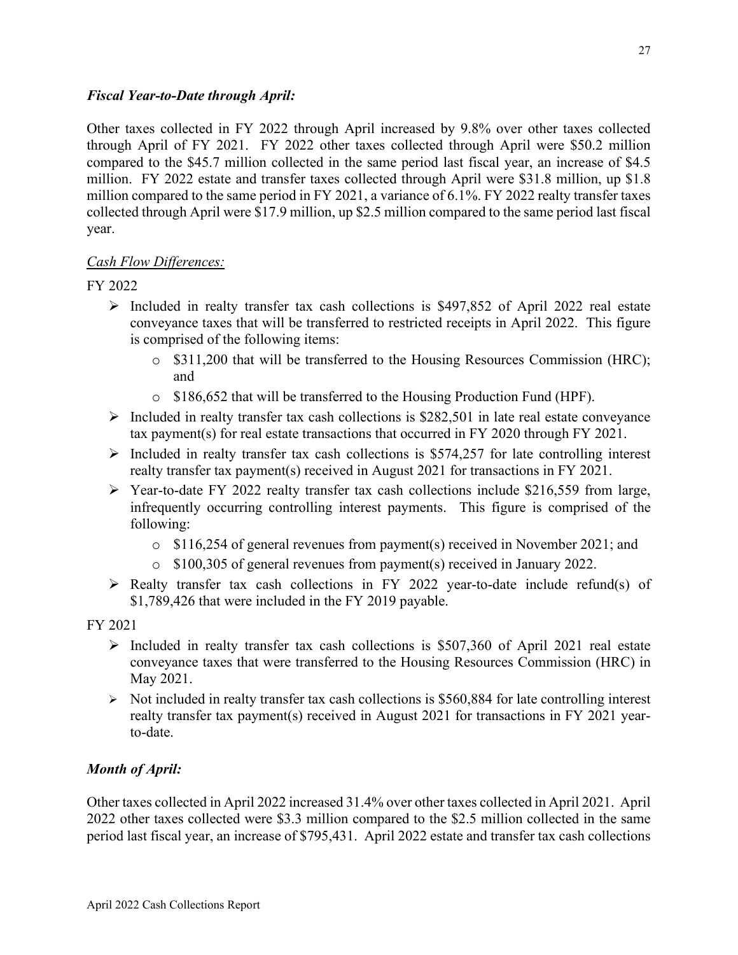#### <span id="page-26-0"></span>*Fiscal Year-to-Date through April:*

<span id="page-26-2"></span>Other taxes collected in FY 2022 through April increased by 9.8% over other taxes collected through April of FY 2021. FY 2022 other taxes collected through April were \$50.2 million compared to the \$45.7 million collected in the same period last fiscal year, an increase of \$4.5 million. FY 2022 estate and transfer taxes collected through April were \$31.8 million, up \$1.8 million compared to the same period in FY 2021, a variance of 6.1%. FY 2022 realty transfer taxes collected through April were \$17.9 million, up \$2.5 million compared to the same period last fiscal year.

## <span id="page-26-5"></span><span id="page-26-3"></span>*Cash Flow Differences:*

FY 2022

- $\triangleright$  Included in realty transfer tax cash collections is \$497,852 of April 2022 real estate conveyance taxes that will be transferred to restricted receipts in April 2022. This figure is comprised of the following items:
	- o \$311,200 that will be transferred to the Housing Resources Commission (HRC); and
	- o \$186,652 that will be transferred to the Housing Production Fund (HPF).
- <span id="page-26-6"></span><span id="page-26-1"></span> $\triangleright$  Included in realty transfer tax cash collections is \$282,501 in late real estate conveyance tax payment(s) for real estate transactions that occurred in FY 2020 through FY 2021.
- $\triangleright$  Included in realty transfer tax cash collections is \$574,257 for late controlling interest realty transfer tax payment(s) received in August 2021 for transactions in FY 2021.
- <span id="page-26-4"></span> $\triangleright$  Year-to-date FY 2022 realty transfer tax cash collections include \$216,559 from large, infrequently occurring controlling interest payments. This figure is comprised of the following:
	- $\circ$  \$116,254 of general revenues from payment(s) received in November 2021; and
	- o \$100,305 of general revenues from payment(s) received in January 2022.
- $\triangleright$  Realty transfer tax cash collections in FY 2022 year-to-date include refund(s) of \$1,789,426 that were included in the FY 2019 payable.

FY 2021

- $\triangleright$  Included in realty transfer tax cash collections is \$507,360 of April 2021 real estate conveyance taxes that were transferred to the Housing Resources Commission (HRC) in May 2021.
- $\triangleright$  Not included in realty transfer tax cash collections is \$560,884 for late controlling interest realty transfer tax payment(s) received in August 2021 for transactions in FY 2021 yearto-date.

# *Month of April:*

Other taxes collected in April 2022 increased 31.4% over other taxes collected in April 2021. April 2022 other taxes collected were \$3.3 million compared to the \$2.5 million collected in the same period last fiscal year, an increase of \$795,431. April 2022 estate and transfer tax cash collections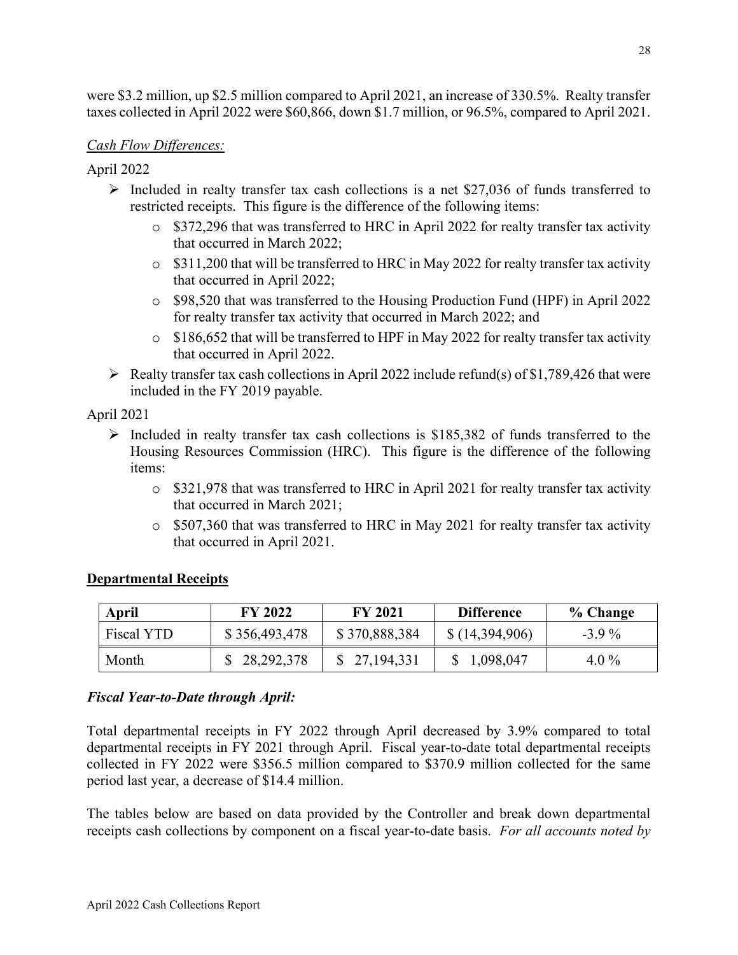<span id="page-27-0"></span>were \$3.2 million, up \$2.5 million compared to April 2021, an increase of 330.5%. Realty transfer taxes collected in April 2022 were \$60,866, down \$1.7 million, or 96.5%, compared to April 2021.

### <span id="page-27-2"></span>*Cash Flow Differences:*

April 2022

- <span id="page-27-1"></span>Included in realty transfer tax cash collections is a net \$27,036 of funds transferred to restricted receipts. This figure is the difference of the following items:
	- $\circ$  \$372,296 that was transferred to HRC in April 2022 for realty transfer tax activity that occurred in March 2022;
	- o \$311,200 that will be transferred to HRC in May 2022 for realty transfer tax activity that occurred in April 2022;
	- o \$98,520 that was transferred to the Housing Production Fund (HPF) in April 2022 for realty transfer tax activity that occurred in March 2022; and
	- $\circ$  \$186,652 that will be transferred to HPF in May 2022 for realty transfer tax activity that occurred in April 2022.
- $\triangleright$  Realty transfer tax cash collections in April 2022 include refund(s) of \$1,789,426 that were included in the FY 2019 payable.

April 2021

- $\triangleright$  Included in realty transfer tax cash collections is \$185,382 of funds transferred to the Housing Resources Commission (HRC). This figure is the difference of the following items:
	- o \$321,978 that was transferred to HRC in April 2021 for realty transfer tax activity that occurred in March 2021;
	- $\circ$  \$507,360 that was transferred to HRC in May 2021 for realty transfer tax activity that occurred in April 2021.

| April      | <b>FY 2022</b> | <b>FY 2021</b> | <b>Difference</b> | % Change |
|------------|----------------|----------------|-------------------|----------|
| Fiscal YTD | \$356,493,478  | \$370,888,384  | \$(14,394,906)    | $-3.9\%$ |
| Month      | \$28,292,378   | \$27,194,331   | \$1,098,047       | $4.0\%$  |

## **Departmental Receipts**

## *Fiscal Year-to-Date through April:*

Total departmental receipts in FY 2022 through April decreased by 3.9% compared to total departmental receipts in FY 2021 through April. Fiscal year-to-date total departmental receipts collected in FY 2022 were \$356.5 million compared to \$370.9 million collected for the same period last year, a decrease of \$14.4 million.

The tables below are based on data provided by the Controller and break down departmental receipts cash collections by component on a fiscal year-to-date basis. *For all accounts noted by*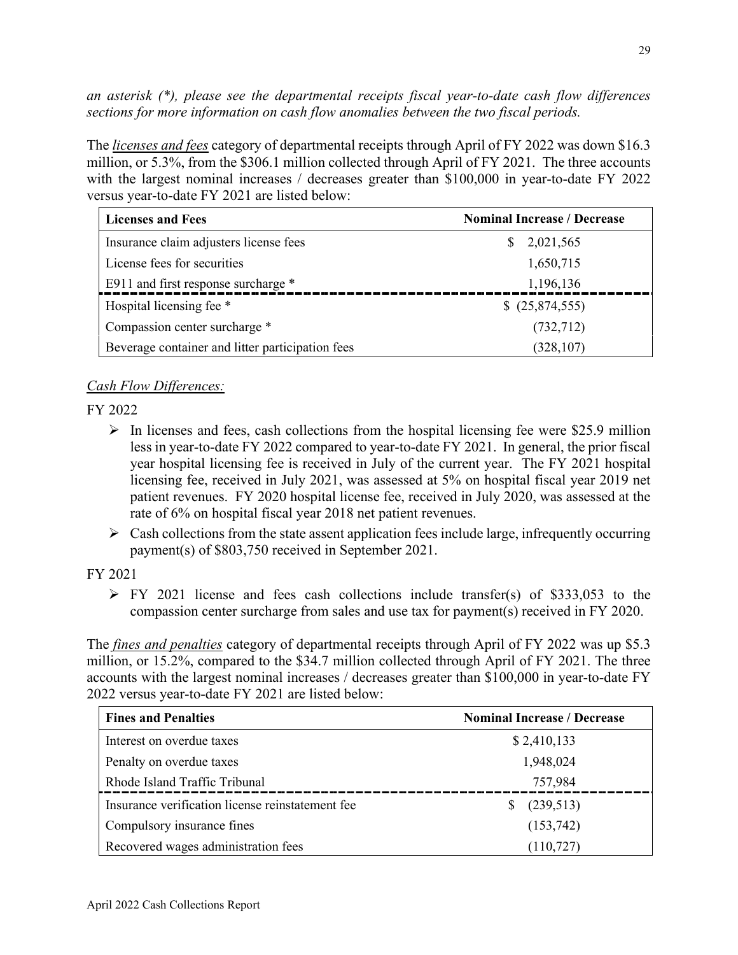*an asterisk (\*), please see the departmental receipts fiscal year-to-date cash flow differences sections for more information on cash flow anomalies between the two fiscal periods.*

The *licenses and fees* category of departmental receipts through April of FY 2022 was down \$16.3 million, or 5.3%, from the \$306.1 million collected through April of FY 2021. The three accounts with the largest nominal increases / decreases greater than \$100,000 in year-to-date FY 2022 versus year-to-date FY 2021 are listed below:

<span id="page-28-0"></span>

| <b>Licenses and Fees</b>                         | <b>Nominal Increase / Decrease</b> |
|--------------------------------------------------|------------------------------------|
| Insurance claim adjusters license fees           | \$2,021,565                        |
| License fees for securities                      | 1,650,715                          |
| E911 and first response surcharge *              | 1,196,136                          |
| Hospital licensing fee *                         | \$ (25,874,555)                    |
| Compassion center surcharge *                    | (732, 712)                         |
| Beverage container and litter participation fees | (328, 107)                         |

## <span id="page-28-2"></span><span id="page-28-1"></span>*Cash Flow Differences:*

FY 2022

- $\triangleright$  In licenses and fees, cash collections from the hospital licensing fee were \$25.9 million less in year-to-date FY 2022 compared to year-to-date FY 2021. In general, the prior fiscal year hospital licensing fee is received in July of the current year. The FY 2021 hospital licensing fee, received in July 2021, was assessed at 5% on hospital fiscal year 2019 net patient revenues. FY 2020 hospital license fee, received in July 2020, was assessed at the rate of 6% on hospital fiscal year 2018 net patient revenues.
- $\triangleright$  Cash collections from the state assent application fees include large, infrequently occurring payment(s) of \$803,750 received in September 2021.

#### FY 2021

 $\triangleright$  FY 2021 license and fees cash collections include transfer(s) of \$333,053 to the compassion center surcharge from sales and use tax for payment(s) received in FY 2020.

The *fines and penalties* category of departmental receipts through April of FY 2022 was up \$5.3 million, or 15.2%, compared to the \$34.7 million collected through April of FY 2021. The three accounts with the largest nominal increases / decreases greater than \$100,000 in year-to-date FY 2022 versus year-to-date FY 2021 are listed below:

| <b>Fines and Penalties</b>                       | <b>Nominal Increase / Decrease</b> |
|--------------------------------------------------|------------------------------------|
| Interest on overdue taxes                        | \$2,410,133                        |
| Penalty on overdue taxes                         | 1,948,024                          |
| Rhode Island Traffic Tribunal                    | 757,984                            |
| Insurance verification license reinstatement fee | (239,513)                          |
| Compulsory insurance fines                       | (153, 742)                         |
| Recovered wages administration fees              | (110, 727)                         |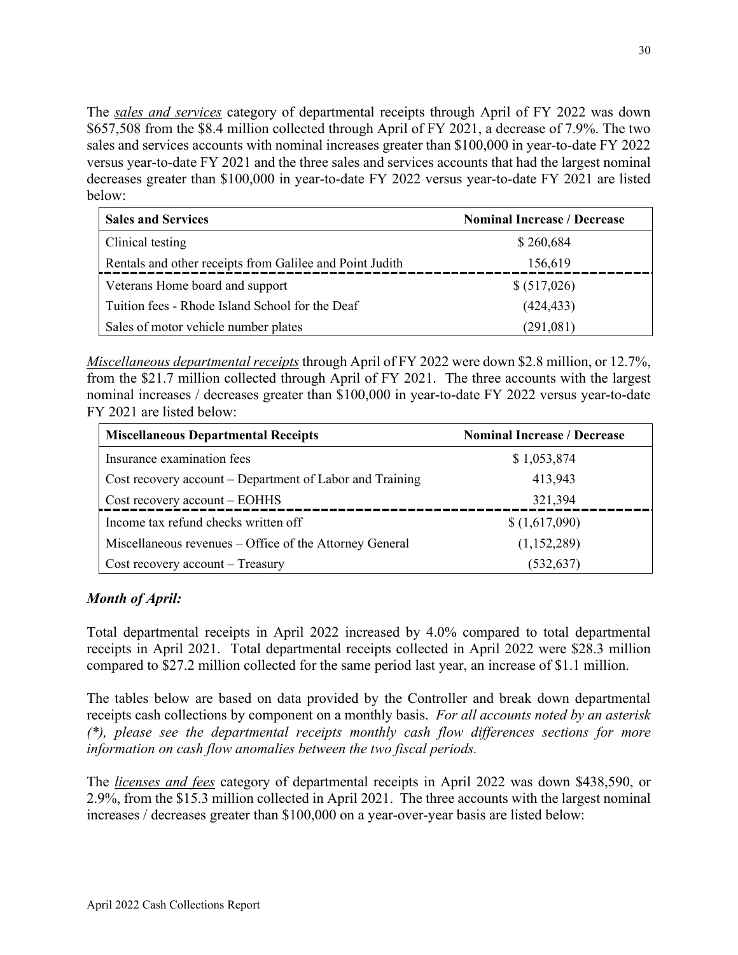The *sales and services* category of departmental receipts through April of FY 2022 was down \$657,508 from the \$8.4 million collected through April of FY 2021, a decrease of 7.9%. The two sales and services accounts with nominal increases greater than \$100,000 in year-to-date FY 2022 versus year-to-date FY 2021 and the three sales and services accounts that had the largest nominal decreases greater than \$100,000 in year-to-date FY 2022 versus year-to-date FY 2021 are listed below:

| <b>Sales and Services</b>                                | <b>Nominal Increase / Decrease</b> |
|----------------------------------------------------------|------------------------------------|
| Clinical testing                                         | \$260,684                          |
| Rentals and other receipts from Galilee and Point Judith | 156,619                            |
| Veterans Home board and support                          | \$ (517,026)                       |
| Tuition fees - Rhode Island School for the Deaf          | (424, 433)                         |
| Sales of motor vehicle number plates                     | (291,081)                          |

*Miscellaneous departmental receipts* through April of FY 2022 were down \$2.8 million, or 12.7%, from the \$21.7 million collected through April of FY 2021. The three accounts with the largest nominal increases / decreases greater than \$100,000 in year-to-date FY 2022 versus year-to-date FY 2021 are listed below:

| <b>Miscellaneous Departmental Receipts</b>               | <b>Nominal Increase / Decrease</b> |
|----------------------------------------------------------|------------------------------------|
| Insurance examination fees                               | \$1,053,874                        |
| Cost recovery account – Department of Labor and Training | 413,943                            |
| Cost recovery account – EOHHS                            | 321,394                            |
| Income tax refund checks written off                     | \$(1,617,090)                      |
| Miscellaneous revenues – Office of the Attorney General  | (1,152,289)                        |
| Cost recovery account – Treasury                         | (532,637)                          |

## *Month of April:*

Total departmental receipts in April 2022 increased by 4.0% compared to total departmental receipts in April 2021. Total departmental receipts collected in April 2022 were \$28.3 million compared to \$27.2 million collected for the same period last year, an increase of \$1.1 million.

The tables below are based on data provided by the Controller and break down departmental receipts cash collections by component on a monthly basis. *For all accounts noted by an asterisk (\*), please see the departmental receipts monthly cash flow differences sections for more information on cash flow anomalies between the two fiscal periods.* 

The *licenses and fees* category of departmental receipts in April 2022 was down \$438,590, or 2.9%, from the \$15.3 million collected in April 2021. The three accounts with the largest nominal increases / decreases greater than \$100,000 on a year-over-year basis are listed below: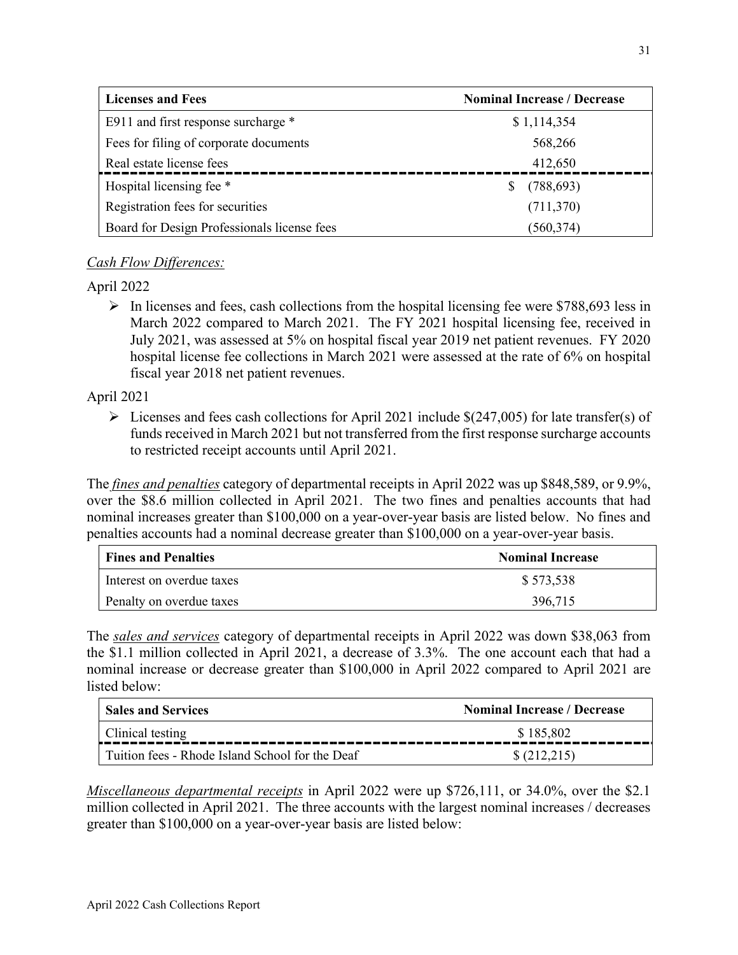<span id="page-30-0"></span>

| <b>Licenses and Fees</b>                    | <b>Nominal Increase / Decrease</b> |
|---------------------------------------------|------------------------------------|
| E911 and first response surcharge *         | \$1,114,354                        |
| Fees for filing of corporate documents      | 568,266                            |
| Real estate license fees                    | 412,650                            |
| Hospital licensing fee *                    | (788, 693)                         |
| Registration fees for securities            | (711,370)                          |
| Board for Design Professionals license fees | (560, 374)                         |

## <span id="page-30-1"></span>*Cash Flow Differences:*

April 2022

 $\triangleright$  In licenses and fees, cash collections from the hospital licensing fee were \$788,693 less in March 2022 compared to March 2021. The FY 2021 hospital licensing fee, received in July 2021, was assessed at 5% on hospital fiscal year 2019 net patient revenues. FY 2020 hospital license fee collections in March 2021 were assessed at the rate of 6% on hospital fiscal year 2018 net patient revenues.

April 2021

 $\triangleright$  Licenses and fees cash collections for April 2021 include \$(247,005) for late transfer(s) of funds received in March 2021 but not transferred from the first response surcharge accounts to restricted receipt accounts until April 2021.

The *fines and penalties* category of departmental receipts in April 2022 was up \$848,589, or 9.9%, over the \$8.6 million collected in April 2021. The two fines and penalties accounts that had nominal increases greater than \$100,000 on a year-over-year basis are listed below. No fines and penalties accounts had a nominal decrease greater than \$100,000 on a year-over-year basis.

| <b>Fines and Penalties</b> | <b>Nominal Increase</b> |
|----------------------------|-------------------------|
| Interest on overdue taxes  | \$573,538               |
| Penalty on overdue taxes   | 396,715                 |

The *sales and services* category of departmental receipts in April 2022 was down \$38,063 from the \$1.1 million collected in April 2021, a decrease of 3.3%. The one account each that had a nominal increase or decrease greater than \$100,000 in April 2022 compared to April 2021 are listed below:

| <b>Sales and Services</b>                       | <b>Nominal Increase / Decrease</b> |
|-------------------------------------------------|------------------------------------|
| Clinical testing                                | \$185,802                          |
| Tuition fees - Rhode Island School for the Deaf | \$(212,215)                        |

*Miscellaneous departmental receipts* in April 2022 were up \$726,111, or 34.0%, over the \$2.1 million collected in April 2021. The three accounts with the largest nominal increases / decreases greater than \$100,000 on a year-over-year basis are listed below: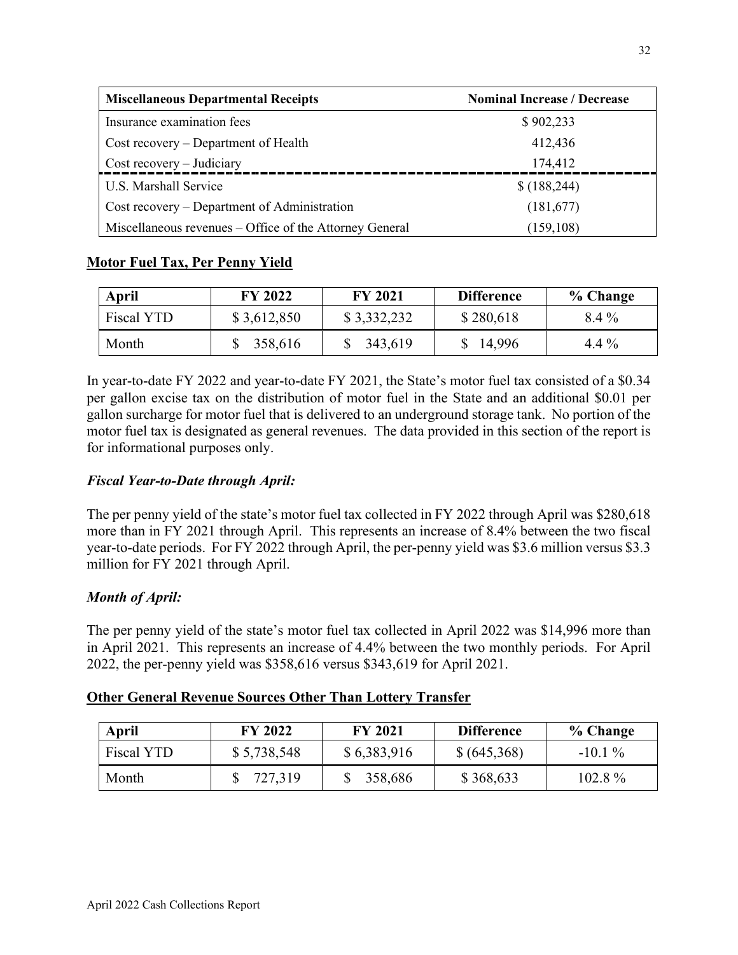| <b>Miscellaneous Departmental Receipts</b>              | <b>Nominal Increase / Decrease</b> |
|---------------------------------------------------------|------------------------------------|
| Insurance examination fees                              | \$902,233                          |
| Cost recovery - Department of Health                    | 412,436                            |
| Cost recovery – Judiciary                               | 174,412                            |
| U.S. Marshall Service                                   | \$(188, 244)                       |
| Cost recovery – Department of Administration            | (181,677)                          |
| Miscellaneous revenues - Office of the Attorney General | (159, 108)                         |

## **Motor Fuel Tax, Per Penny Yield**

| <b>April</b> | <b>FY 2022</b> | <b>FY 2021</b> | <b>Difference</b> | % Change |
|--------------|----------------|----------------|-------------------|----------|
| Fiscal YTD   | \$3,612,850    | \$3,332,232    | \$280,618         | 8.4 %    |
| Month        | 358,616        | 343,619        | 14,996            | $4.4\%$  |

In year-to-date FY 2022 and year-to-date FY 2021, the State's motor fuel tax consisted of a \$0.34 per gallon excise tax on the distribution of motor fuel in the State and an additional \$0.01 per gallon surcharge for motor fuel that is delivered to an underground storage tank. No portion of the motor fuel tax is designated as general revenues. The data provided in this section of the report is for informational purposes only.

## *Fiscal Year-to-Date through April:*

The per penny yield of the state's motor fuel tax collected in FY 2022 through April was \$280,618 more than in FY 2021 through April. This represents an increase of 8.4% between the two fiscal year-to-date periods. For FY 2022 through April, the per-penny yield was \$3.6 million versus \$3.3 million for FY 2021 through April.

## *Month of April:*

The per penny yield of the state's motor fuel tax collected in April 2022 was \$14,996 more than in April 2021. This represents an increase of 4.4% between the two monthly periods. For April 2022, the per-penny yield was \$358,616 versus \$343,619 for April 2021.

#### **Other General Revenue Sources Other Than Lottery Transfer**

| <b>April</b> | <b>FY 2022</b> | <b>FY 2021</b> | <b>Difference</b> | % Change  |
|--------------|----------------|----------------|-------------------|-----------|
| Fiscal YTD   | \$5,738,548    | \$6,383,916    | \$ (645,368)      | $-10.1\%$ |
| Month        | 727,319        | 358,686        | \$368,633         | $102.8\%$ |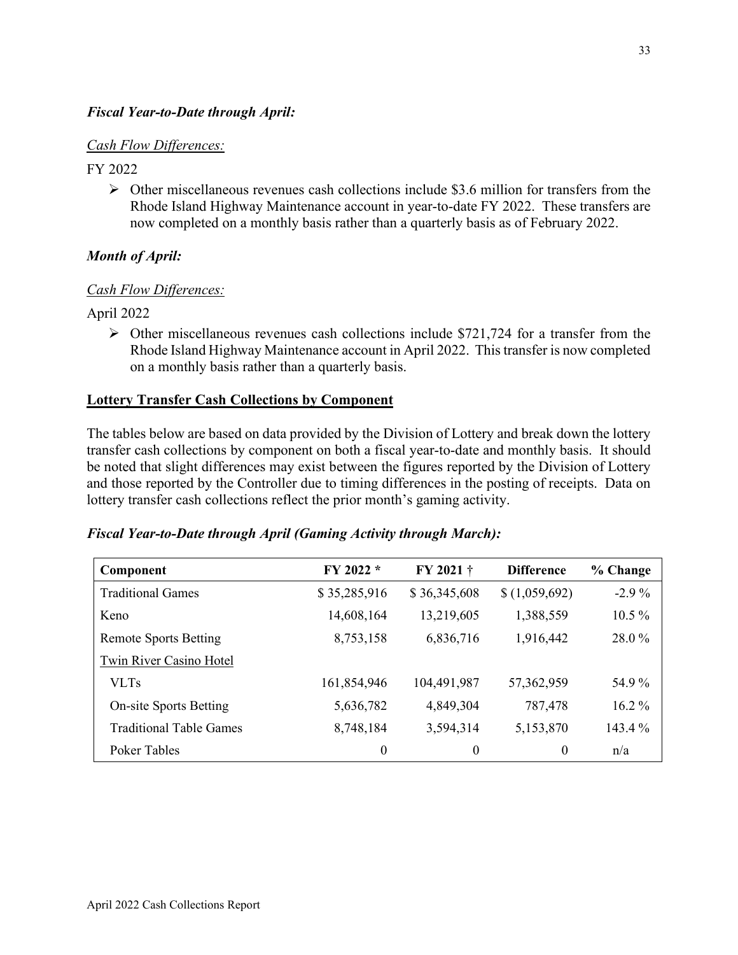### <span id="page-32-1"></span><span id="page-32-0"></span>*Fiscal Year-to-Date through April:*

#### *Cash Flow Differences:*

#### FY 2022

 $\triangleright$  Other miscellaneous revenues cash collections include \$3.6 million for transfers from the Rhode Island Highway Maintenance account in year-to-date FY 2022. These transfers are now completed on a monthly basis rather than a quarterly basis as of February 2022.

## *Month of April:*

## *Cash Flow Differences:*

April 2022

 $\triangleright$  Other miscellaneous revenues cash collections include \$721,724 for a transfer from the Rhode Island Highway Maintenance account in April 2022. This transfer is now completed on a monthly basis rather than a quarterly basis.

#### **Lottery Transfer Cash Collections by Component**

The tables below are based on data provided by the Division of Lottery and break down the lottery transfer cash collections by component on both a fiscal year-to-date and monthly basis. It should be noted that slight differences may exist between the figures reported by the Division of Lottery and those reported by the Controller due to timing differences in the posting of receipts. Data on lottery transfer cash collections reflect the prior month's gaming activity.

| <b>Fiscal Year-to-Date through April (Gaming Activity through March):</b> |  |  |  |
|---------------------------------------------------------------------------|--|--|--|
|                                                                           |  |  |  |

| Component                      | FY 2022 *    | FY 2021 +        | <b>Difference</b> | % Change |
|--------------------------------|--------------|------------------|-------------------|----------|
| <b>Traditional Games</b>       | \$35,285,916 | \$36,345,608     | \$(1,059,692)     | $-2.9\%$ |
| Keno                           | 14,608,164   | 13,219,605       | 1,388,559         | $10.5\%$ |
| <b>Remote Sports Betting</b>   | 8,753,158    | 6,836,716        | 1,916,442         | 28.0%    |
| Twin River Casino Hotel        |              |                  |                   |          |
| <b>VLTs</b>                    | 161,854,946  | 104,491,987      | 57,362,959        | 54.9%    |
| <b>On-site Sports Betting</b>  | 5,636,782    | 4,849,304        | 787,478           | $16.2\%$ |
| <b>Traditional Table Games</b> | 8,748,184    | 3,594,314        | 5,153,870         | 143.4 %  |
| Poker Tables                   | 0            | $\boldsymbol{0}$ | $\theta$          | n/a      |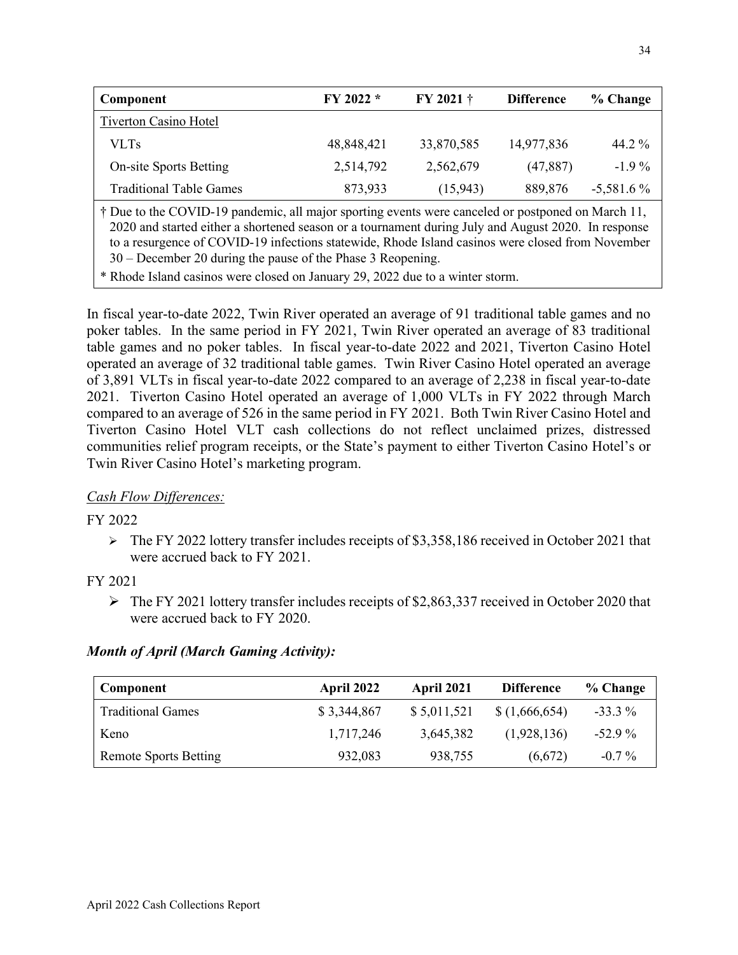| Component                                                                                                                                                                                                                                                                      | FY 2022 *  | FY 2021 †  | <b>Difference</b> | % Change     |  |  |
|--------------------------------------------------------------------------------------------------------------------------------------------------------------------------------------------------------------------------------------------------------------------------------|------------|------------|-------------------|--------------|--|--|
| <b>Tiverton Casino Hotel</b>                                                                                                                                                                                                                                                   |            |            |                   |              |  |  |
| <b>VLTs</b>                                                                                                                                                                                                                                                                    | 48,848,421 | 33,870,585 | 14,977,836        | 44.2 $\%$    |  |  |
| <b>On-site Sports Betting</b>                                                                                                                                                                                                                                                  | 2,514,792  | 2,562,679  | (47, 887)         | $-1.9\%$     |  |  |
| <b>Traditional Table Games</b>                                                                                                                                                                                                                                                 | 873,933    | (15,943)   | 889,876           | $-5,581.6\%$ |  |  |
| † Due to the COVID-19 pandemic, all major sporting events were canceled or postponed on March 11,<br>2020 and started either a shortened season or a tournament during July and August 2020. In response<br>$\ell$ (COUTD 10 $\ell$ $\ell$ ) 1 D1 1 T1 1 $\ell$ 1 1 $\ell$ M 1 |            |            |                   |              |  |  |

to a resurgence of COVID-19 infections statewide, Rhode Island casinos were closed from November 30 – December 20 during the pause of the Phase 3 Reopening.

\* Rhode Island casinos were closed on January 29, 2022 due to a winter storm.

<span id="page-33-1"></span><span id="page-33-0"></span>In fiscal year-to-date 2022, Twin River operated an average of 91 traditional table games and no poker tables. In the same period in FY 2021, Twin River operated an average of 83 traditional table games and no poker tables. In fiscal year-to-date 2022 and 2021, Tiverton Casino Hotel operated an average of 32 traditional table games. Twin River Casino Hotel operated an average of 3,891 VLTs in fiscal year-to-date 2022 compared to an average of 2,238 in fiscal year-to-date 2021. Tiverton Casino Hotel operated an average of 1,000 VLTs in FY 2022 through March compared to an average of 526 in the same period in FY 2021. Both Twin River Casino Hotel and Tiverton Casino Hotel VLT cash collections do not reflect unclaimed prizes, distressed communities relief program receipts, or the State's payment to either Tiverton Casino Hotel's or Twin River Casino Hotel's marketing program.

## *Cash Flow Differences:*

#### FY 2022

 $\triangleright$  The FY 2022 lottery transfer includes receipts of \$3,358,186 received in October 2021 that were accrued back to FY 2021.

#### FY 2021

 $\triangleright$  The FY 2021 lottery transfer includes receipts of \$2,863,337 received in October 2020 that were accrued back to FY 2020.

#### *Month of April (March Gaming Activity):*

| Component                    | April 2022  | <b>April 2021</b> | <b>Difference</b> | % Change  |
|------------------------------|-------------|-------------------|-------------------|-----------|
| <b>Traditional Games</b>     | \$3,344,867 | \$5,011,521       | \$(1,666,654)     | $-33.3\%$ |
| Keno                         | 1,717,246   | 3,645,382         | (1,928,136)       | $-52.9\%$ |
| <b>Remote Sports Betting</b> | 932,083     | 938,755           | (6,672)           | $-0.7\%$  |